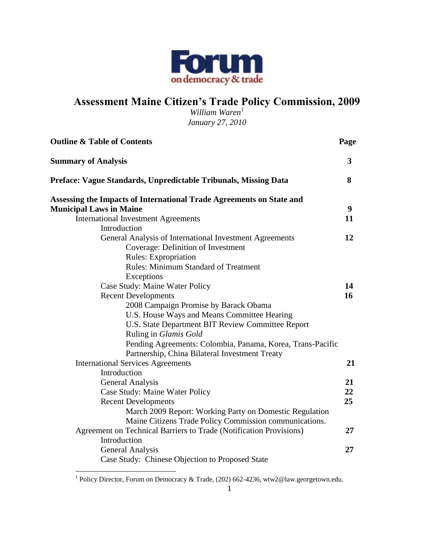

# **Assessment Maine Citizen's Trade Policy Commission, 2009**

*William Waren<sup>1</sup> January 27, 2010*

| <b>Outline &amp; Table of Contents</b>                               | Page             |
|----------------------------------------------------------------------|------------------|
| <b>Summary of Analysis</b>                                           | $3^{\circ}$      |
| Preface: Vague Standards, Unpredictable Tribunals, Missing Data      | 8                |
| Assessing the Impacts of International Trade Agreements on State and |                  |
| <b>Municipal Laws in Maine</b>                                       | $\boldsymbol{9}$ |
| <b>International Investment Agreements</b>                           | 11               |
| Introduction                                                         |                  |
| General Analysis of International Investment Agreements              | 12               |
| Coverage: Definition of Investment                                   |                  |
| <b>Rules:</b> Expropriation                                          |                  |
| <b>Rules: Minimum Standard of Treatment</b>                          |                  |
| Exceptions                                                           |                  |
| Case Study: Maine Water Policy                                       | 14               |
| <b>Recent Developments</b>                                           | 16               |
| 2008 Campaign Promise by Barack Obama                                |                  |
| U.S. House Ways and Means Committee Hearing                          |                  |
| U.S. State Department BIT Review Committee Report                    |                  |
| Ruling in Glamis Gold                                                |                  |
| Pending Agreements: Colombia, Panama, Korea, Trans-Pacific           |                  |
| Partnership, China Bilateral Investment Treaty                       |                  |
| <b>International Services Agreements</b>                             | 21               |
| Introduction                                                         |                  |
| <b>General Analysis</b>                                              | 21               |
| Case Study: Maine Water Policy                                       | 22               |
| <b>Recent Developments</b>                                           | 25               |
| March 2009 Report: Working Party on Domestic Regulation              |                  |
| Maine Citizens Trade Policy Commission communications.               |                  |
| Agreement on Technical Barriers to Trade (Notification Provisions)   | 27               |
| Introduction                                                         |                  |
| General Analysis                                                     | 27               |
| Case Study: Chinese Objection to Proposed State                      |                  |

 1 Policy Director, Forum on Democracy & Trade, (202) 662-4236, wtw2@law.georgetown.edu.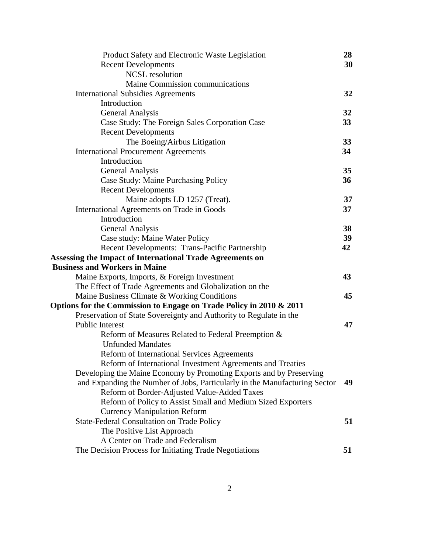| Product Safety and Electronic Waste Legislation                            | 28              |
|----------------------------------------------------------------------------|-----------------|
| <b>Recent Developments</b>                                                 | 30              |
| <b>NCSL</b> resolution                                                     |                 |
| Maine Commission communications                                            |                 |
| <b>International Subsidies Agreements</b>                                  | 32              |
| Introduction                                                               |                 |
| General Analysis                                                           | 32              |
| Case Study: The Foreign Sales Corporation Case                             | 33 <sup>2</sup> |
| <b>Recent Developments</b>                                                 |                 |
| The Boeing/Airbus Litigation                                               | 33              |
| <b>International Procurement Agreements</b>                                | 34              |
| Introduction                                                               |                 |
| General Analysis                                                           | 35 <sup>5</sup> |
| Case Study: Maine Purchasing Policy                                        | 36              |
| <b>Recent Developments</b>                                                 |                 |
| Maine adopts LD 1257 (Treat).                                              | 37              |
| International Agreements on Trade in Goods                                 | 37              |
| Introduction                                                               |                 |
| <b>General Analysis</b>                                                    | 38              |
| Case study: Maine Water Policy                                             | 39              |
| Recent Developments: Trans-Pacific Partnership                             | 42              |
| Assessing the Impact of International Trade Agreements on                  |                 |
| <b>Business and Workers in Maine</b>                                       |                 |
| Maine Exports, Imports, & Foreign Investment                               | 43              |
| The Effect of Trade Agreements and Globalization on the                    |                 |
| Maine Business Climate & Working Conditions                                | 45              |
| Options for the Commission to Engage on Trade Policy in 2010 & 2011        |                 |
| Preservation of State Sovereignty and Authority to Regulate in the         |                 |
| Public Interest                                                            | 47              |
| Reform of Measures Related to Federal Preemption &                         |                 |
| <b>Unfunded Mandates</b>                                                   |                 |
| Reform of International Services Agreements                                |                 |
| Reform of International Investment Agreements and Treaties                 |                 |
| Developing the Maine Economy by Promoting Exports and by Preserving        |                 |
| and Expanding the Number of Jobs, Particularly in the Manufacturing Sector | 49              |
| Reform of Border-Adjusted Value-Added Taxes                                |                 |
| Reform of Policy to Assist Small and Medium Sized Exporters                |                 |
| <b>Currency Manipulation Reform</b>                                        |                 |
| <b>State-Federal Consultation on Trade Policy</b>                          | 51              |
| The Positive List Approach                                                 |                 |
| A Center on Trade and Federalism                                           |                 |
| The Decision Process for Initiating Trade Negotiations                     | 51              |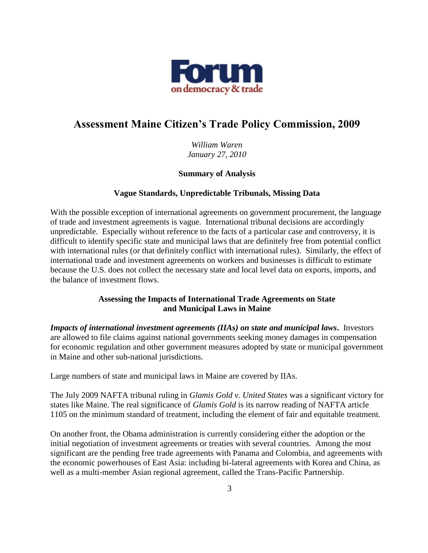

# **Assessment Maine Citizen's Trade Policy Commission, 2009**

*William Waren January 27, 2010*

### **Summary of Analysis**

### **Vague Standards, Unpredictable Tribunals, Missing Data**

With the possible exception of international agreements on government procurement, the language of trade and investment agreements is vague. International tribunal decisions are accordingly unpredictable. Especially without reference to the facts of a particular case and controversy, it is difficult to identify specific state and municipal laws that are definitely free from potential conflict with international rules (or that definitely conflict with international rules). Similarly, the effect of international trade and investment agreements on workers and businesses is difficult to estimate because the U.S. does not collect the necessary state and local level data on exports, imports, and the balance of investment flows.

## **Assessing the Impacts of International Trade Agreements on State and Municipal Laws in Maine**

*Impacts of international investment agreements (IIAs) on state and municipal laws***.** Investors are allowed to file claims against national governments seeking money damages in compensation for economic regulation and other government measures adopted by state or municipal government in Maine and other sub-national jurisdictions.

Large numbers of state and municipal laws in Maine are covered by IIAs.

The July 2009 NAFTA tribunal ruling in *Glamis Gold v. United States* was a significant victory for states like Maine. The real significance of *Glamis Gold* is its narrow reading of NAFTA article 1105 on the minimum standard of treatment, including the element of fair and equitable treatment.

On another front, the Obama administration is currently considering either the adoption or the initial negotiation of investment agreements or treaties with several countries. Among the most significant are the pending free trade agreements with Panama and Colombia, and agreements with the economic powerhouses of East Asia: including bi-lateral agreements with Korea and China, as well as a multi-member Asian regional agreement, called the Trans-Pacific Partnership.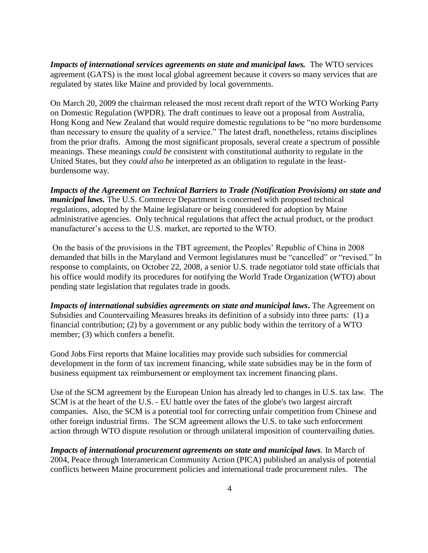*Impacts of international services agreements on state and municipal laws.* The WTO services agreement (GATS) is the most local global agreement because it covers so many services that are regulated by states like Maine and provided by local governments.

On March 20, 2009 the chairman released the most recent draft report of the WTO Working Party on Domestic Regulation (WPDR). The draft continues to leave out a proposal from Australia, Hong Kong and New Zealand that would require domestic regulations to be "no more burdensome" than necessary to ensure the quality of a service." The latest draft, nonetheless, retains disciplines from the prior drafts. Among the most significant proposals, several create a spectrum of possible meanings. These meanings *could be* consistent with constitutional authority to regulate in the United States, but they *could also be* interpreted as an obligation to regulate in the leastburdensome way.

*Impacts of the Agreement on Technical Barriers to Trade (Notification Provisions) on state and municipal laws.* The U.S. Commerce Department is concerned with proposed technical regulations, adopted by the Maine legislature or being considered for adoption by Maine administrative agencies. Only technical regulations that affect the actual product, or the product manufacturer's access to the U.S. market, are reported to the WTO.

On the basis of the provisions in the TBT agreement, the Peoples' Republic of China in 2008 demanded that bills in the Maryland and Vermont legislatures must be "cancelled" or "revised." In response to complaints, on October 22, 2008, a senior U.S. trade negotiator told state officials that his office would modify its procedures for notifying the World Trade Organization (WTO) about pending state legislation that regulates trade in goods.

*Impacts of international subsidies agreements on state and municipal laws***. The Agreement on** Subsidies and Countervailing Measures breaks its definition of a subsidy into three parts: (1) a financial contribution; (2) by a government or any public body within the territory of a WTO member; (3) which confers a benefit.

Good Jobs First reports that Maine localities may provide such subsidies for commercial development in the form of tax increment financing, while state subsidies may be in the form of business equipment tax reimbursement or employment tax increment financing plans.

Use of the SCM agreement by the European Union has already led to changes in U.S. tax law. The SCM is at the heart of the U.S. - EU battle over the fates of the globe's two largest aircraft companies. Also, the SCM is a potential tool for correcting unfair competition from Chinese and other foreign industrial firms. The SCM agreement allows the U.S. to take such enforcement action through WTO dispute resolution or through unilateral imposition of countervailing duties.

*Impacts of international procurement agreements on state and municipal laws.* In March of 2004, Peace through Interamerican Community Action (PICA) published an analysis of potential conflicts between Maine procurement policies and international trade procurement rules. The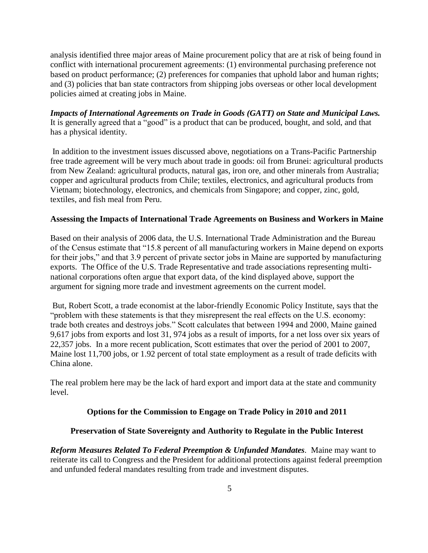analysis identified three major areas of Maine procurement policy that are at risk of being found in conflict with international procurement agreements: (1) environmental purchasing preference not based on product performance; (2) preferences for companies that uphold labor and human rights; and (3) policies that ban state contractors from shipping jobs overseas or other local development policies aimed at creating jobs in Maine.

*Impacts of International Agreements on Trade in Goods (GATT) on State and Municipal Laws.*  It is generally agreed that a "good" is a product that can be produced, bought, and sold, and that has a physical identity.

In addition to the investment issues discussed above, negotiations on a Trans-Pacific Partnership free trade agreement will be very much about trade in goods: oil from Brunei: agricultural products from New Zealand: agricultural products, natural gas, iron ore, and other minerals from Australia; copper and agricultural products from Chile; textiles, electronics, and agricultural products from Vietnam; biotechnology, electronics, and chemicals from Singapore; and copper, zinc, gold, textiles, and fish meal from Peru.

#### **Assessing the Impacts of International Trade Agreements on Business and Workers in Maine**

Based on their analysis of 2006 data, the U.S. International Trade Administration and the Bureau of the Census estimate that "15.8 percent of all manufacturing workers in Maine depend on exports for their jobs," and that 3.9 percent of private sector jobs in Maine are supported by manufacturing exports. The Office of the U.S. Trade Representative and trade associations representing multinational corporations often argue that export data, of the kind displayed above, support the argument for signing more trade and investment agreements on the current model.

But, Robert Scott, a trade economist at the labor-friendly Economic Policy Institute, says that the "problem with these statements is that they misrepresent the real effects on the U.S. economy: trade both creates and destroys jobs." Scott calculates that between 1994 and 2000, Maine gained 9,617 jobs from exports and lost 31, 974 jobs as a result of imports, for a net loss over six years of 22,357 jobs. In a more recent publication, Scott estimates that over the period of 2001 to 2007, Maine lost 11,700 jobs, or 1.92 percent of total state employment as a result of trade deficits with China alone.

The real problem here may be the lack of hard export and import data at the state and community level.

#### **Options for the Commission to Engage on Trade Policy in 2010 and 2011**

#### **Preservation of State Sovereignty and Authority to Regulate in the Public Interest**

*Reform Measures Related To Federal Preemption & Unfunded Mandates.* Maine may want to reiterate its call to Congress and the President for additional protections against federal preemption and unfunded federal mandates resulting from trade and investment disputes.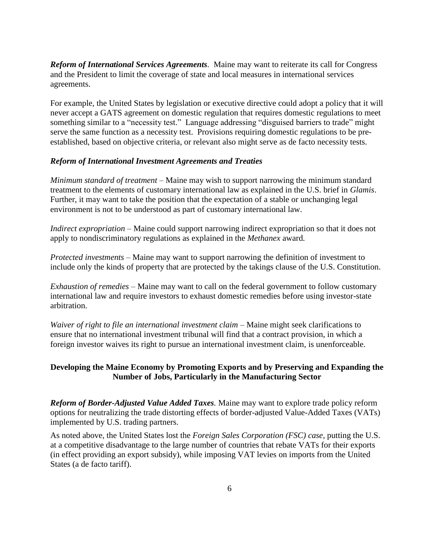*Reform of International Services Agreements.* Maine may want to reiterate its call for Congress and the President to limit the coverage of state and local measures in international services agreements.

For example, the United States by legislation or executive directive could adopt a policy that it will never accept a GATS agreement on domestic regulation that requires domestic regulations to meet something similar to a "necessity test." Language addressing "disguised barriers to trade" might serve the same function as a necessity test. Provisions requiring domestic regulations to be preestablished, based on objective criteria, or relevant also might serve as de facto necessity tests.

#### *Reform of International Investment Agreements and Treaties*

*Minimum standard of treatment* – Maine may wish to support narrowing the minimum standard treatment to the elements of customary international law as explained in the U.S. brief in *Glamis*. Further, it may want to take the position that the expectation of a stable or unchanging legal environment is not to be understood as part of customary international law.

*Indirect expropriation* – Maine could support narrowing indirect expropriation so that it does not apply to nondiscriminatory regulations as explained in the *Methanex* award*.* 

*Protected investments –* Maine may want to support narrowing the definition of investment to include only the kinds of property that are protected by the takings clause of the U.S. Constitution.

*Exhaustion of remedies –* Maine may want to call on the federal government to follow customary international law and require investors to exhaust domestic remedies before using investor-state arbitration.

*Waiver of right to file an international investment claim – Maine might seek clarifications to* ensure that no international investment tribunal will find that a contract provision, in which a foreign investor waives its right to pursue an international investment claim, is unenforceable.

### **Developing the Maine Economy by Promoting Exports and by Preserving and Expanding the Number of Jobs, Particularly in the Manufacturing Sector**

*Reform of Border-Adjusted Value Added Taxes.* Maine may want to explore trade policy reform options for neutralizing the trade distorting effects of border-adjusted Value-Added Taxes (VATs) implemented by U.S. trading partners.

As noted above, the United States lost the *Foreign Sales Corporation (FSC) case*, putting the U.S. at a competitive disadvantage to the large number of countries that rebate VATs for their exports (in effect providing an export subsidy), while imposing VAT levies on imports from the United States (a de facto tariff).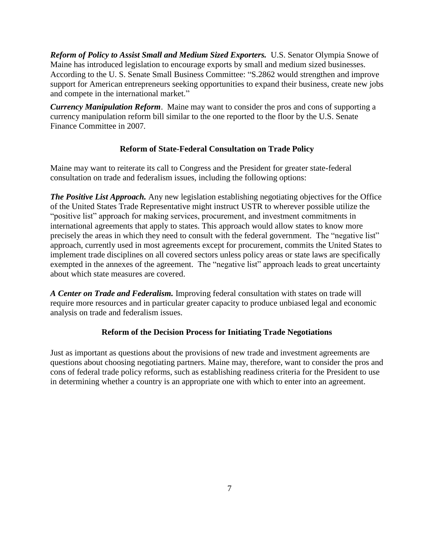*Reform of Policy to Assist Small and Medium Sized Exporters.* U.S. Senator Olympia Snowe of Maine has introduced legislation to encourage exports by small and medium sized businesses. According to the U.S. Senate Small Business Committee: "S.2862 would strengthen and improve support for American entrepreneurs seeking opportunities to expand their business, create new jobs and compete in the international market."

*Currency Manipulation Reform*. Maine may want to consider the pros and cons of supporting a currency manipulation reform bill similar to the one reported to the floor by the U.S. Senate Finance Committee in 2007*.*

### **Reform of State-Federal Consultation on Trade Policy**

Maine may want to reiterate its call to Congress and the President for greater state-federal consultation on trade and federalism issues, including the following options:

*The Positive List Approach.* Any new legislation establishing negotiating objectives for the Office of the United States Trade Representative might instruct USTR to wherever possible utilize the "positive list" approach for making services, procurement, and investment commitments in international agreements that apply to states. This approach would allow states to know more precisely the areas in which they need to consult with the federal government. The "negative list" approach, currently used in most agreements except for procurement, commits the United States to implement trade disciplines on all covered sectors unless policy areas or state laws are specifically exempted in the annexes of the agreement. The "negative list" approach leads to great uncertainty about which state measures are covered.

*A Center on Trade and Federalism.* Improving federal consultation with states on trade will require more resources and in particular greater capacity to produce unbiased legal and economic analysis on trade and federalism issues.

## **Reform of the Decision Process for Initiating Trade Negotiations**

Just as important as questions about the provisions of new trade and investment agreements are questions about choosing negotiating partners. Maine may, therefore, want to consider the pros and cons of federal trade policy reforms, such as establishing readiness criteria for the President to use in determining whether a country is an appropriate one with which to enter into an agreement.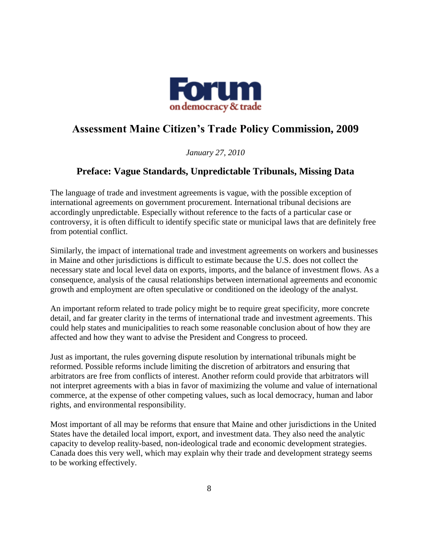

# **Assessment Maine Citizen's Trade Policy Commission, 2009**

*January 27, 2010*

## **Preface: Vague Standards, Unpredictable Tribunals, Missing Data**

The language of trade and investment agreements is vague, with the possible exception of international agreements on government procurement. International tribunal decisions are accordingly unpredictable. Especially without reference to the facts of a particular case or controversy, it is often difficult to identify specific state or municipal laws that are definitely free from potential conflict.

Similarly, the impact of international trade and investment agreements on workers and businesses in Maine and other jurisdictions is difficult to estimate because the U.S. does not collect the necessary state and local level data on exports, imports, and the balance of investment flows. As a consequence, analysis of the causal relationships between international agreements and economic growth and employment are often speculative or conditioned on the ideology of the analyst.

An important reform related to trade policy might be to require great specificity, more concrete detail, and far greater clarity in the terms of international trade and investment agreements. This could help states and municipalities to reach some reasonable conclusion about of how they are affected and how they want to advise the President and Congress to proceed.

Just as important, the rules governing dispute resolution by international tribunals might be reformed. Possible reforms include limiting the discretion of arbitrators and ensuring that arbitrators are free from conflicts of interest. Another reform could provide that arbitrators will not interpret agreements with a bias in favor of maximizing the volume and value of international commerce, at the expense of other competing values, such as local democracy, human and labor rights, and environmental responsibility.

Most important of all may be reforms that ensure that Maine and other jurisdictions in the United States have the detailed local import, export, and investment data. They also need the analytic capacity to develop reality-based, non-ideological trade and economic development strategies. Canada does this very well, which may explain why their trade and development strategy seems to be working effectively.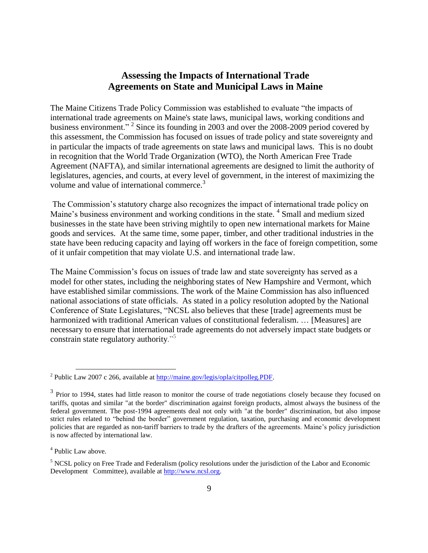## **Assessing the Impacts of International Trade Agreements on State and Municipal Laws in Maine**

The Maine Citizens Trade Policy Commission was established to evaluate "the impacts of international trade agreements on Maine's state laws, municipal laws, working conditions and business environment."<sup>2</sup> Since its founding in 2003 and over the 2008-2009 period covered by this assessment, the Commission has focused on issues of trade policy and state sovereignty and in particular the impacts of trade agreements on state laws and municipal laws. This is no doubt in recognition that the World Trade Organization (WTO), the North American Free Trade Agreement (NAFTA), and similar international agreements are designed to limit the authority of legislatures, agencies, and courts, at every level of government, in the interest of maximizing the volume and value of international commerce.<sup>3</sup>

The Commission's statutory charge also recognizes the impact of international trade policy on Maine's business environment and working conditions in the state.<sup>4</sup> Small and medium sized businesses in the state have been striving mightily to open new international markets for Maine goods and services. At the same time, some paper, timber, and other traditional industries in the state have been reducing capacity and laying off workers in the face of foreign competition, some of it unfair competition that may violate U.S. and international trade law.

The Maine Commission's focus on issues of trade law and state sovereignty has served as a model for other states, including the neighboring states of New Hampshire and Vermont, which have established similar commissions. The work of the Maine Commission has also influenced national associations of state officials. As stated in a policy resolution adopted by the National Conference of State Legislatures, "NCSL also believes that these [trade] agreements must be harmonized with traditional American values of constitutional federalism. ... [Measures] are necessary to ensure that international trade agreements do not adversely impact state budgets or constrain state regulatory authority."<sup>5</sup>

<sup>&</sup>lt;sup>2</sup> Public Law 2007 c 266, available at <u>http://maine.gov/legis/opla/citpolleg.PDF</u>.

 $3$  Prior to 1994, states had little reason to monitor the course of trade negotiations closely because they focused on tariffs, quotas and similar "at the border" discrimination against foreign products, almost always the business of the federal government. The post-1994 agreements deal not only with "at the border" discrimination, but also impose strict rules related to "behind the border" government regulation, taxation, purchasing and economic development policies that are regarded as non-tariff barriers to trade by the drafters of the agreements. Maine's policy jurisdiction is now affected by international law.

<sup>&</sup>lt;sup>4</sup> Public Law above.

<sup>5</sup> NCSL policy on Free Trade and Federalism (policy resolutions under the jurisdiction of the Labor and Economic Development Committee), available at [http://www.ncsl.org.](http://www.ncsl.org/)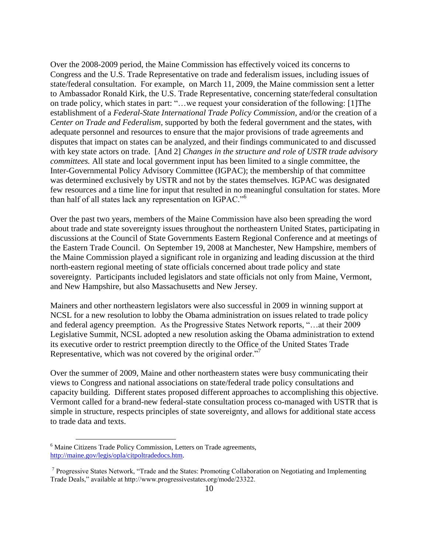Over the 2008-2009 period, the Maine Commission has effectively voiced its concerns to Congress and the U.S. Trade Representative on trade and federalism issues, including issues of state/federal consultation. For example, on March 11, 2009, the Maine commission sent a letter to Ambassador Ronald Kirk, the U.S. Trade Representative, concerning state/federal consultation on trade policy, which states in part: "...we request your consideration of the following: [1] The establishment of a *Federal-State International Trade Policy Commission,* and/or the creation of a *Center on Trade and Federalism,* supported by both the federal government and the states, with adequate personnel and resources to ensure that the major provisions of trade agreements and disputes that impact on states can be analyzed, and their findings communicated to and discussed with key state actors on trade. [And 2] *Changes in the structure and role of USTR trade advisory committees.* All state and local government input has been limited to a single committee, the Inter-Governmental Policy Advisory Committee (IGPAC); the membership of that committee was determined exclusively by USTR and not by the states themselves. IGPAC was designated few resources and a time line for input that resulted in no meaningful consultation for states. More than half of all states lack any representation on IGPAC."<sup>6</sup>

Over the past two years, members of the Maine Commission have also been spreading the word about trade and state sovereignty issues throughout the northeastern United States, participating in discussions at the Council of State Governments Eastern Regional Conference and at meetings of the Eastern Trade Council. On September 19, 2008 at Manchester, New Hampshire, members of the Maine Commission played a significant role in organizing and leading discussion at the third north-eastern regional meeting of state officials concerned about trade policy and state sovereignty. Participants included legislators and state officials not only from Maine, Vermont, and New Hampshire, but also Massachusetts and New Jersey.

Mainers and other northeastern legislators were also successful in 2009 in winning support at NCSL for a new resolution to lobby the Obama administration on issues related to trade policy and federal agency preemption. As the Progressive States Network reports, "...at their 2009 Legislative Summit, NCSL adopted a [new resolution](http://progressivestates.org/ncsl09/healthpolicyrecommendations.pdf) asking the Obama administration to extend its executive order to restrict preemption directly to the Office of the United States Trade Representative, which was not covered by the original order."<sup>7</sup>

Over the summer of 2009, Maine and other northeastern states were busy communicating their views to Congress and national associations on state/federal trade policy consultations and capacity building.Different states proposed different approaches to accomplishing this objective. [Vermont](http://www.forumdemocracy.net/article.php?id=531) called for a brand-new federal-state consultation process co-managed with USTR that is simple in structure, respects principles of state sovereignty, and allows for additional state access to trade data and texts.

<sup>&</sup>lt;sup>6</sup> Maine Citizens Trade Policy Commission, Letters on Trade agreements, [http://maine.gov/legis/opla/citpoltradedocs.htm.](http://maine.gov/legis/opla/citpoltradedocs.htm)

<sup>&</sup>lt;sup>7</sup> Progressive States Network, "Trade and the States: Promoting Collaboration on Negotiating and Implementing Trade Deals," available at http://www.progressivestates.org/mode/23322.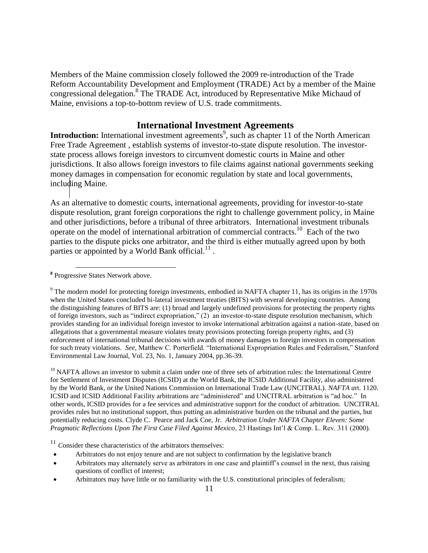Members of the Maine commission closely followed the 2009 re-introduction of the Trade Reform Accountability Development and Employment (TRADE) Act by a member of the Maine congressional delegation.<sup>8</sup> The TRADE Act, introduced by Representative Mike Michaud of Maine, envisions a top-to-bottom review of U.S. trade commitments.

#### **International Investment Agreements**

**Introduction:** International investment agreements<sup>9</sup>, such as chapter 11 of the North American Free Trade Agreement , establish systems of investor-to-state dispute resolution. The investorstate process allows foreign investors to circumvent domestic courts in Maine and other jurisdictions. It also allows foreign investors to file claims against national governments seeking money damages in compensation for economic regulation by state and local governments, including Maine.

As an alternative to domestic courts, international agreements, providing for investor-to-state dispute resolution, grant foreign corporations the right to challenge government policy, in Maine and other jurisdictions, before a tribunal of three arbitrators. International investment tribunals operate on the model of international arbitration of commercial contracts.<sup>10</sup> Each of the two parties to the dispute picks one arbitrator, and the third is either mutually agreed upon by both parties or appointed by a World Bank official. $^{11}$ .

 $\overline{a}$ 

<sup>10</sup> NAFTA allows an investor to submit a claim under one of three sets of arbitration rules: the International Centre for Settlement of Investment Disputes (ICSID) at the World Bank, the ICSID Additional Facility, also administered by the World Bank, or the United Nations Commission on International Trade Law (UNCITRAL). *NAFTA a*rt. 1120. ICSID and ICSID Additional Facility arbitrations are "administered" and UNCITRAL arbitration is "ad hoc." In other words, ICSID provides for a fee services and administrative support for the conduct of arbitration. UNCITRAL provides rules but no institutional support, thus putting an administrative burden on the tribunal and the parties, but potentially reducing costs. Clyde C. Pearce and Jack Coe, Jr. *Arbitration Under NAFTA Chapter Eleven: Some Pragmatic Reflections Upon The First Case Filed Against Mexico*, 23 Hastings Int'l & Comp. L. Rev. 311 (2000).

<sup>11</sup> Consider these characteristics of the arbitrators themselves:

- Arbitrators do not enjoy tenure and are not subject to confirmation by the legislative branch
- Arbitrators may alternately serve as arbitrators in one case and plaintiff's counsel in the next, thus raising questions of conflict of interest;
- Arbitrators may have little or no familiarity with the U.S. constitutional principles of federalism;

**<sup>8</sup>** Progressive States Network above.

<sup>&</sup>lt;sup>9</sup> The modern model for protecting foreign investments, embodied in NAFTA chapter 11, has its origins in the 1970s when the United States concluded bi-lateral investment treaties (BITS) with several developing countries. Among the distinguishing features of BITS are: (1) broad and largely undefined provisions for protecting the property rights of foreign investors, such as "indirect expropriation," (2) an investor-to-state dispute resolution mechanism, which provides standing for an individual foreign investor to invoke international arbitration against a nation-state, based on allegations that a governmental measure violates treaty provisions protecting foreign property rights, and (3) enforcement of international tribunal decisions with awards of money damages to foreign investors in compensation for such treaty violations. *See*, Matthew C. Porterfield. "International Expropriation Rules and Federalism," Stanford Environmental Law Journal, Vol. 23, No. 1, January 2004, pp.36-39.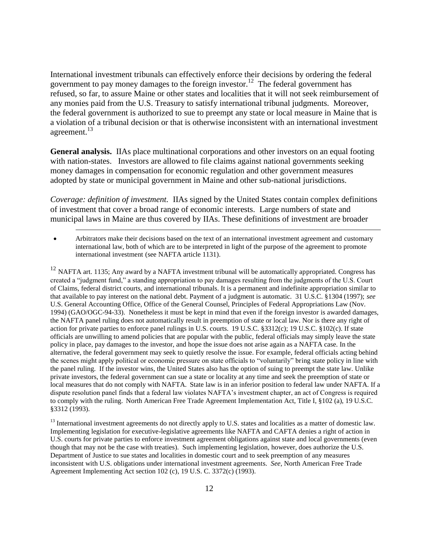International investment tribunals can effectively enforce their decisions by ordering the federal government to pay money damages to the foreign investor.<sup>12</sup> The federal government has refused, so far, to assure Maine or other states and localities that it will not seek reimbursement of any monies paid from the U.S. Treasury to satisfy international tribunal judgments. Moreover, the federal government is authorized to sue to preempt any state or local measure in Maine that is a violation of a tribunal decision or that is otherwise inconsistent with an international investment agreement.<sup>13</sup>

**General analysis.** IIAs place multinational corporations and other investors on an equal footing with nation-states. Investors are allowed to file claims against national governments seeking money damages in compensation for economic regulation and other government measures adopted by state or municipal government in Maine and other sub-national jurisdictions.

*Coverage: definition of investment.* IIAs signed by the United States contain complex definitions of investment that cover a broad range of economic interests. Large numbers of state and municipal laws in Maine are thus covered by IIAs. These definitions of investment are broader

 Arbitrators make their decisions based on the text of an international investment agreement and customary international law, both of which are to be interpreted in light of the purpose of the agreement to promote international investment (see NAFTA article 1131).

 $\overline{a}$ 

<sup>12</sup> NAFTA art. 1135; Any award by a NAFTA investment tribunal will be automatically appropriated. Congress has created a "judgment fund," a standing appropriation to pay damages resulting from the judgments of the U.S. Court of Claims, federal district courts, and international tribunals. It is a permanent and indefinite appropriation similar to that available to pay interest on the national debt. Payment of a judgment is automatic. 31 U.S.C. §1304 (1997); *see* U.S. General Accounting Office, Office of the General Counsel, Principles of Federal Appropriations Law (Nov. 1994) (GAO/OGC-94-33). Nonetheless it must be kept in mind that even if the foreign investor is awarded damages, the NAFTA panel ruling does not automatically result in preemption of state or local law. Nor is there any right of action for private parties to enforce panel rulings in U.S. courts. 19 U.S.C. §3312(c); 19 U.S.C. §102(c). If state officials are unwilling to amend policies that are popular with the public, federal officials may simply leave the state policy in place, pay damages to the investor, and hope the issue does not arise again as a NAFTA case. In the alternative, the federal government may seek to quietly resolve the issue. For example, federal officials acting behind the scenes might apply political or economic pressure on state officials to "voluntarily" bring state policy in line with the panel ruling. If the investor wins, the United States also has the option of suing to preempt the state law. Unlike private investors, the federal government can sue a state or locality at any time and seek the preemption of state or local measures that do not comply with NAFTA. State law is in an inferior position to federal law under NAFTA. If a dispute resolution panel finds that a federal law violates NAFTA's investment chapter, an act of Congress is required to comply with the ruling. North American Free Trade Agreement Implementation Act, Title I, §102 (a), 19 U.S.C. §3312 (1993).

<sup>13</sup> International investment agreements do not directly apply to U.S. states and localities as a matter of domestic law. Implementing legislation for executive-legislative agreements like NAFTA and CAFTA denies a right of action in U.S. courts for private parties to enforce investment agreement obligations against state and local governments (even though that may not be the case with treaties). Such implementing legislation, however, does authorize the U.S. Department of Justice to sue states and localities in domestic court and to seek preemption of any measures inconsistent with U.S. obligations under international investment agreements. *See,* North American Free Trade Agreement Implementing Act section 102 (c), 19 U.S. C. 3372(c) (1993).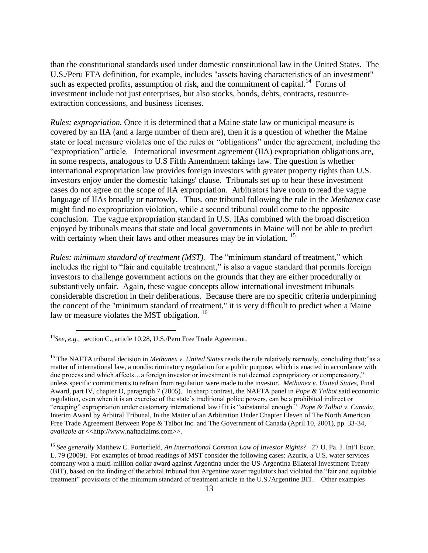than the constitutional standards used under domestic constitutional law in the United States. The U.S./Peru FTA definition, for example, includes "assets having characteristics of an investment" such as expected profits, assumption of risk, and the commitment of capital.<sup>14</sup> Forms of investment include not just enterprises, but also stocks, bonds, debts, contracts, resourceextraction concessions, and business licenses.

*Rules: expropriation.* Once it is determined that a Maine state law or municipal measure is covered by an IIA (and a large number of them are), then it is a question of whether the Maine state or local measure violates one of the rules or "obligations" under the agreement, including the "expropriation" article. International investment agreement (IIA) expropriation obligations are, in some respects, analogous to U.S Fifth Amendment takings law. The question is whether international expropriation law provides foreign investors with greater property rights than U.S. investors enjoy under the domestic ['takings' clause.](http://www.law.umkc.edu/faculty/projects/ftrials/conlaw/takings.htm) Tribunals set up to hear these investment cases do not agree on the scope of IIA expropriation. Arbitrators have room to read the vague language of IIAs broadly or narrowly. Thus, one tribunal following the rule in the *Methanex* case might find no expropriation violation, while a second tribunal could come to the opposite conclusion. The vague expropriation standard in U.S. IIAs combined with the broad discretion enjoyed by tribunals means that state and local governments in Maine will not be able to predict with certainty when their laws and other measures may be in violation.<sup>15</sup>

*Rules: minimum standard of treatment (MST).* The "minimum standard of treatment," which includes the right to "fair and equitable treatment," is also a vague standard that permits foreign investors to challenge government actions on the grounds that they are either procedurally or substantively unfair. Again, these vague concepts allow international investment tribunals considerable discretion in their deliberations. Because there are no specific criteria underpinning the concept of the "minimum standard of treatment," it is very difficult to predict when a Maine law or measure violates the MST obligation.<sup>16</sup>

<sup>&</sup>lt;sup>14</sup>See, e.g., section C., article 10.28, U.S./Peru Free Trade Agreement.

<sup>&</sup>lt;sup>15</sup> The NAFTA tribunal decision in *Methanex v. United States* reads the rule relatively narrowly, concluding that:"as a matter of international law, a nondiscriminatory regulation for a public purpose, which is enacted in accordance with due process and which affects…a foreign investor or investment is not deemed expropriatory or compensatory," unless specific commitments to refrain from regulation were made to the investor. *Methanex v. United States,* Final Award, part IV, chapter D, paragraph 7 (2005). In sharp contrast, the NAFTA panel in *Pope & Talbot* said economic regulation, even when it is an exercise of the state's traditional police powers, can be a prohibited indirect or ―creeping‖ expropriation under customary international law if it is ―substantial enough.‖ *Pope & Talbot v. Canada*, Interim Award by Arbitral Tribunal, In the Matter of an Arbitration Under Chapter Eleven of The North American Free Trade Agreement Between Pope & Talbot Inc. and The Government of Canada (April 10, 2001), pp. 33-34, *available at* << http://www.naftaclaims.com>>.

<sup>16</sup> *See generally* Matthew C. Porterfield, *An International Common Law of Investor Rights?* 27 U. Pa. J. Int'l Econ. L. 79 (2009). For examples of broad readings of MST consider the following cases: Azurix, a U.S. water services company won a multi-million dollar award against Argentina under the US-Argentina Bilateral Investment Treaty (BIT), based on the finding of the arbital tribunal that Argentine water regulators had violated the "fair and equitable" treatment" provisions of the minimum standard of treatment article in the U.S./Argentine BIT. Other examples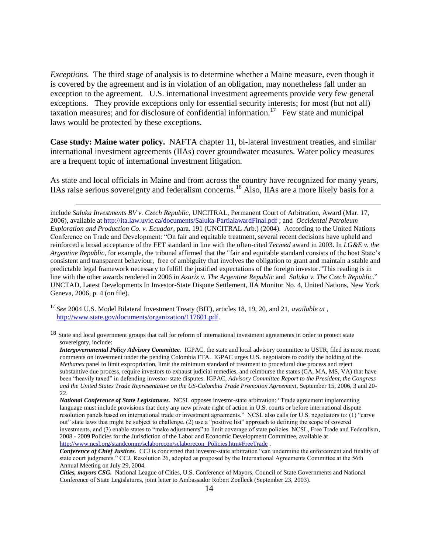*Exceptions.* The third stage of analysis is to determine whether a Maine measure, even though it is covered by the agreement and is in violation of an obligation, may nonetheless fall under an exception to the agreement. U.S. international investment agreements provide very few general exceptions. They provide exceptions only for essential security interests; for most (but not all) taxation measures; and for disclosure of confidential information.<sup>17</sup> Few state and municipal laws would be protected by these exceptions.

**Case study: Maine water policy.** NAFTA chapter 11, bi-lateral investment treaties, and similar international investment agreements (IIAs) cover groundwater measures. Water policy measures are a frequent topic of international investment litigation.

As state and local officials in Maine and from across the country have recognized for many years, IIAs raise serious sovereignty and federalism concerns.<sup>18</sup> Also, IIAs are a more likely basis for a

<sup>17</sup> *See* 2004 U.S. Model Bilateral Investment Treaty (BIT), articles 18, 19, 20, and 21, *available at ,*  [http://www.state.gov/documents/organization/117601.pdf.](http://www.state.gov/documents/organization/117601.pdf)

 $\overline{a}$ 

<sup>18</sup> State and local government groups that call for reform of international investment agreements in order to protect state sovereignty, include:

include *Saluka Investments BV v. Czech Republic,* UNCITRAL, Permanent Court of Arbitration, Award (Mar. 17, 2006), available a[t http://ita.law.uvic.ca/documents/Saluka-PartialawardFinal.pdf](http://ita.law.uvic.ca/documents/Saluka-PartialawardFinal.pdf) ; and *Occidental Petroleum Exploration and Production Co. v. Ecuador*, para. 191 (UNCITRAL Arb.) (2004). According to the United Nations Conference on Trade and Development: "On fair and equitable treatment, several recent decisions have upheld and reinforced a broad acceptance of the FET standard in line with the often-cited *Tecmed* award in 2003. In *LG&E v. the Argentine Republic*, for example, the tribunal affirmed that the "fair and equitable standard consists of the host State's consistent and transparent behaviour, free of ambiguity that involves the obligation to grant and maintain a stable and predictable legal framework necessary to fulfill the justified expectations of the foreign investor."This reading is in line with the other awards rendered in 2006 in *Azurix v. The Argentine Republic* and *Saluka v. The Czech Republic.*‖ UNCTAD, Latest Developments In Investor-State Dispute Settlement, IIA Monitor No. 4, United Nations, New York Geneva, 2006, p. 4 (on file).

*Intergovernmental Policy Advisory Committee.* IGPAC, the state and local advisory committee to USTR, filed its most recent comments on investment under the pending Colombia FTA. IGPAC urges U.S. negotiators to codify the holding of the *Methanex* panel to limit expropriation, limit the minimum standard of treatment to procedural due process and reject substantive due process, require investors to exhaust judicial remedies, and reimburse the states (CA, MA, MS, VA) that have been "heavily taxed" in defending investor-state disputes. IGPAC, *Advisory Committee Report to the President, the Congress and the United States Trade Representative on the US-Colombia Trade Promotion Agreement*, September 15, 2006, 3 and 20- 22.

*National Conference of State Legislatures.* NCSL opposes investor-state arbitration: "Trade agreement implementing language must include provisions that deny any new private right of action in U.S. courts or before international dispute resolution panels based on international trade or investment agreements." NCSL also calls for U.S. negotiators to: (1) "carve out" state laws that might be subject to challenge,  $(2)$  use a "positive list" approach to defining the scope of covered investments, and (3) enable states to "make adjustments" to limit coverage of state policies. NCSL, Free Trade and Federalism, 2008 - 2009 Policies for the Jurisdiction of the Labor and Economic Development Committee, available at [http://www.ncsl.org/standcomm/sclaborecon/sclaborecon\\_Policies.htm#FreeTrade](http://www.ncsl.org/standcomm/sclaborecon/sclaborecon_Policies.htm#FreeTrade).

**Conference of Chief Justices.** CCJ is concerned that investor-state arbitration "can undermine the enforcement and finality of state court judgments." CCJ, Resolution 26, adopted as proposed by the International Agreements Committee at the 56th Annual Meeting on July 29, 2004.

*Cities, mayors CSG.* National League of Cities, U.S. Conference of Mayors, Council of State Governments and National Conference of State Legislatures, joint letter to Ambassador Robert Zoelleck (September 23, 2003).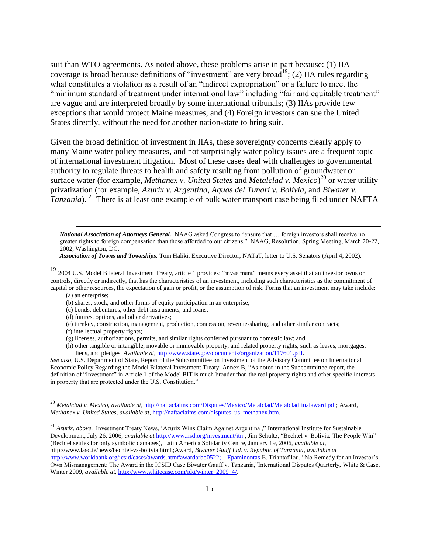suit than WTO agreements. As noted above, these problems arise in part because: (1) IIA coverage is broad because definitions of "investment" are very broad<sup>19</sup>; (2) IIA rules regarding what constitutes a violation as a result of an "indirect expropriation" or a failure to meet the "minimum standard of treatment under international law" including "fair and equitable treatment" are vague and are interpreted broadly by some international tribunals; (3) IIAs provide few exceptions that would protect Maine measures, and (4) Foreign investors can sue the United States directly, without the need for another nation-state to bring suit.

Given the broad definition of investment in IIAs, these sovereignty concerns clearly apply to many Maine water policy measures, and not surprisingly water policy issues are a frequent topic of international investment litigation. Most of these cases deal with challenges to governmental authority to regulate threats to health and safety resulting from pollution of groundwater or surface water (for example, *Methanex v. United States* and *Metalclad v. Mexico*) 20 or water utility privatization (for example, *Azurix v. Argentina*, *Aquas del Tunari v. Bolivia*, and *Biwater v. Tanzania*). <sup>21</sup> There is at least one example of bulk water transport case being filed under NAFTA

*National Association of Attorneys General.* NAAG asked Congress to "ensure that ... foreign investors shall receive no greater rights to foreign compensation than those afforded to our citizens." NAAG, Resolution, Spring Meeting, March 20-22, 2002, Washington, DC.

*Association of Towns and Townships.* Tom Haliki, Executive Director, NATaT, letter to U.S. Senators (April 4, 2002).

<sup>19</sup> 2004 U.S. Model Bilateral Investment Treaty, article 1 provides: "investment" means every asset that an investor owns or controls, directly or indirectly, that has the characteristics of an investment, including such characteristics as the commitment of capital or other resources, the expectation of gain or profit, or the assumption of risk. Forms that an investment may take include: (a) an enterprise;

(b) shares, stock, and other forms of equity participation in an enterprise;

(c) bonds, debentures, other debt instruments, and loans;

- (d) futures, options, and other derivatives;
- (e) turnkey, construction, management, production, concession, revenue-sharing, and other similar contracts;
- (f) intellectual property rights;

 $\overline{a}$ 

- (g) licenses, authorizations, permits, and similar rights conferred pursuant to domestic law; and
- (h) other tangible or intangible, movable or immovable property, and related property rights, such as leases, mortgages, liens, and pledges. *Available at,* [http://www.state.gov/documents/organization/117601.pdf.](http://www.state.gov/documents/organization/117601.pdf)

*See also,* U.S. Department of State, Report of the Subcommittee on Investment of the Advisory Committee on International Economic Policy Regarding the Model Bilateral Investment Treaty: Annex B, "As noted in the Subcommittee report, the definition of "Investment" in Article 1 of the Model BIT is much broader than the real property rights and other specific interests in property that are protected under the U.S. Constitution."

<sup>20</sup> *Metalclad v. Mexico*, *available at,* [http://naftaclaims.com/Disputes/Mexico/Metalclad/Metalcladfinalaward.pdf;](http://naftaclaims.com/Disputes/Mexico/Metalclad/Metalcladfinalaward.pdf) Award, *Methanex v. United States, available at,* [http://naftaclaims.com/disputes\\_us\\_methanex.htm.](http://naftaclaims.com/disputes_us_methanex.htm)

<sup>21</sup> Azurix, above. Investment Treaty News, 'Azurix Wins Claim Against Argentina ," International Institute for Sustainable Development, July 26, 2006, *available at [http://www.iisd.org/investment/itn.](http://www.iisd.org/investment/itn)*; Jim Schultz, "Bechtel v. Bolivia: The People Win" (Bechtel settles for only symbolic damages), Latin America Solidarity Centre, January 19, 2006, *available at,*  http://www.lasc.ie/news/bechtel-vs-bolivia.html.;Award, *Biwater Gauff Ltd. v. Republic of Tanzania*, *available at*  [http://www.worldbank.org/icsid/cases/awards.htm#awardarbo0522; Epaminontas](http://www.worldbank.org/icsid/cases/awards.htm#awardarbo0522;    Epaminontas) E. Triantafilou, "No Remedy for an Investor's Own Mismanagement: The Award in the ICSID Case Biwater Gauff v. Tanzania,"International Disputes Quarterly, White & Case, Winter 2009, *available at,* [http://www.whitecase.com/idq/winter\\_2009\\_4/.](http://www.whitecase.com/idq/winter_2009_4/)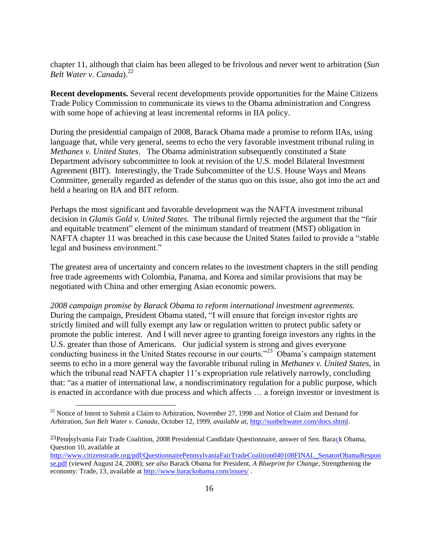chapter 11, although that claim has been alleged to be frivolous and never went to arbitration (*Sun Belt Water v. Canada*).<sup>22</sup>

**Recent developments.** Several recent developments provide opportunities for the Maine Citizens Trade Policy Commission to communicate its views to the Obama administration and Congress with some hope of achieving at least incremental reforms in IIA policy.

During the presidential campaign of 2008, Barack Obama made a promise to reform IIAs, using language that, while very general, seems to echo the very favorable investment tribunal ruling in *Methanex v. United States*. The Obama administration subsequently constituted a State Department advisory subcommittee to look at revision of the U.S. model Bilateral Investment Agreement (BIT). Interestingly, the Trade Subcommittee of the U.S. House Ways and Means Committee, generally regarded as defender of the status quo on this issue, also got into the act and held a hearing on IIA and BIT reform.

Perhaps the most significant and favorable development was the NAFTA investment tribunal decision in *Glamis Gold v. United States*. The tribunal firmly rejected the argument that the "fair and equitable treatment" element of the minimum standard of treatment (MST) obligation in NAFTA chapter 11 was breached in this case because the United States failed to provide a "stable legal and business environment."

The greatest area of uncertainty and concern relates to the investment chapters in the still pending free trade agreements with Colombia, Panama, and Korea and similar provisions that may be negotiated with China and other emerging Asian economic powers.

*2008 campaign promise by Barack Obama to reform international investment agreements.*  During the campaign, President Obama stated, "I will ensure that foreign investor rights are strictly limited and will fully exempt any law or regulation written to protect public safety or promote the public interest. And I will never agree to granting foreign investors any rights in the U.S. greater than those of Americans. Our judicial system is strong and gives everyone conducting business in the United States recourse in our courts."<sup>23</sup> Obama's campaign statement seems to echo in a more general way the favorable tribunal ruling in *Methanex v. United States,* in which the tribunal read NAFTA chapter 11's expropriation rule relatively narrowly, concluding that: "as a matter of international law, a nondiscriminatory regulation for a public purpose, which is enacted in accordance with due process and which affects … a foreign investor or investment is

 $22$  Notice of Intent to Submit a Claim to Arbitration, November 27, 1998 and Notice of Claim and Demand for Arbitration, *Sun Belt Water v. Canada*, October 12, 1999, *available at,* [http://sunbeltwater.com/docs.shtml.](http://sunbeltwater.com/docs.shtml)

<sup>&</sup>lt;sup>23</sup>Pennsylvania Fair Trade Coalition, 2008 Presidential Candidate Questionnaire, answer of Sen. Barack Obama, Question 10, available at

[http://www.citizenstrade.org/pdf/QuestionnairePennsylvaniaFairTradeCoalition040108FINAL\\_SenatorObamaRespon](http://www.citizenstrade.org/pdf/QuestionnairePennsylvaniaFairTradeCoalition040108FINAL_SenatorObamaResponse.pdf) [se.pdf](http://www.citizenstrade.org/pdf/QuestionnairePennsylvaniaFairTradeCoalition040108FINAL_SenatorObamaResponse.pdf) (viewed August 24, 2008); *see also* Barack Obama for President, *A Blueprint for Change*, Strengthening the economy: Trade, 13, available at<http://www.barackobama.com/issues/> .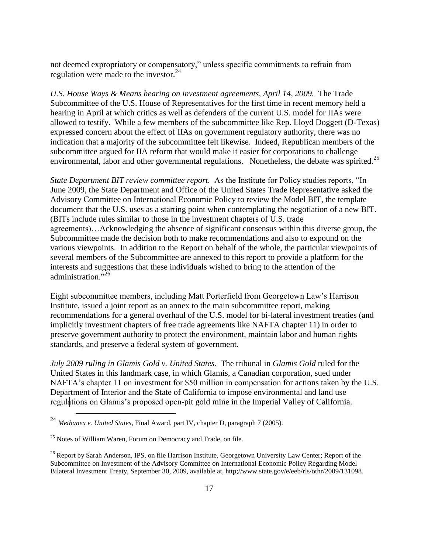not deemed expropriatory or compensatory," unless specific commitments to refrain from regulation were made to the investor. $24$ 

*U.S. House Ways & Means hearing on investment agreements, April 14, 2009.* The Trade Subcommittee of the U.S. House of Representatives for the first time in recent memory held a hearing in April at which critics as well as defenders of the current U.S. model for IIAs were allowed to testify. While a few members of the subcommittee like Rep. Lloyd Doggett (D-Texas) expressed concern about the effect of IIAs on government regulatory authority, there was no indication that a majority of the subcommittee felt likewise. Indeed, Republican members of the subcommittee argued for IIA reform that would make it easier for corporations to challenge environmental, labor and other governmental regulations. Nonetheless, the debate was spirited.<sup>25</sup>

*State Department BIT review committee report.* As the Institute for Policy studies reports, "In June 2009, the State Department and Office of the United States Trade Representative asked the Advisory Committee on International Economic Policy to review the Model BIT, the template document that the U.S. uses as a starting point when contemplating the negotiation of a new BIT. (BITs include rules similar to those in the investment chapters of U.S. trade agreements)…Acknowledging the absence of significant consensus within this diverse group, the Subcommittee made the decision both to make recommendations and also to expound on the various viewpoints. In addition to the Report on behalf of the whole, the particular viewpoints of several members of the Subcommittee are annexed to this report to provide a platform for the interests and suggestions that these individuals wished to bring to the attention of the administration."26

Eight subcommittee members, including Matt Porterfield from Georgetown Law's Harrison Institute, issued a joint report as an annex to the main subcommittee report, making recommendations for a general overhaul of the U.S. model for bi-lateral investment treaties (and implicitly investment chapters of free trade agreements like NAFTA chapter 11) in order to preserve government authority to protect the environment, maintain labor and human rights standards, and preserve a federal system of government.

*July 2009 ruling in Glamis Gold v. United States.* The tribunal in *Glamis Gold* ruled for the United States in this landmark case, in which Glamis, a Canadian corporation, sued under NAFTA's chapter 11 on investment for \$50 million in compensation for actions taken by the U.S. Department of Interior and the State of California to impose environmental and land use regulations on Glamis's proposed open-pit gold mine in the Imperial Valley of California.

<sup>24</sup> *Methanex v. United States,* Final Award, part IV, chapter D, paragraph 7 (2005).

 $25$  Notes of William Waren, Forum on Democracy and Trade, on file.

<sup>&</sup>lt;sup>26</sup> Report by Sarah Anderson, IPS, on file Harrison Institute, Georgetown University Law Center; Report of the Subcommittee on Investment of the Advisory Committee on International Economic Policy Regarding Model Bilateral Investment Treaty, September 30, 2009, available at, http;//www.state.gov/e/eeb/rls/othr/2009/131098.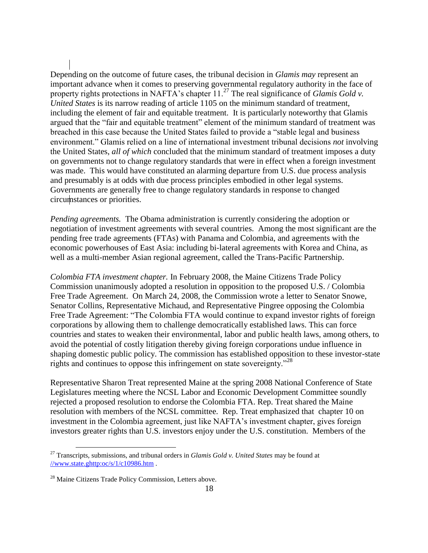Depending on the outcome of future cases, the tribunal decision in *Glamis may* represent an important advance when it comes to preserving governmental regulatory authority in the face of property rights protections in NAFTA's chapter 11.<sup>27</sup> The real significance of *Glamis Gold v*. *United States* is its narrow reading of article 1105 on the minimum standard of treatment, including the element of fair and equitable treatment. It is particularly noteworthy that Glamis argued that the "fair and equitable treatment" element of the minimum standard of treatment was breached in this case because the United States failed to provide a "stable legal and business" environment.‖ Glamis relied on a line of international investment tribunal decisions *not* involving the United States, *all of which* concluded that the minimum standard of treatment imposes a duty on governments not to change regulatory standards that were in effect when a foreign investment was made. This would have constituted an alarming departure from U.S. due process analysis and presumably is at odds with due process principles embodied in other legal systems. Governments are generally free to change regulatory standards in response to changed circumstances or priorities.

*Pending agreements.* The Obama administration is currently considering the adoption or negotiation of investment agreements with several countries. Among the most significant are the pending free trade agreements (FTAs) with Panama and Colombia, and agreements with the economic powerhouses of East Asia: including bi-lateral agreements with Korea and China, as well as a multi-member Asian regional agreement, called the Trans-Pacific Partnership.

*Colombia FTA investment chapter.* In February 2008, the Maine Citizens Trade Policy Commission unanimously adopted a resolution in opposition to the proposed U.S. / Colombia Free Trade Agreement. On March 24, 2008, the Commission wrote a letter to Senator Snowe, Senator Collins, Representative Michaud, and Representative Pingree opposing the Colombia Free Trade Agreement: "The Colombia FTA would continue to expand investor rights of foreign corporations by allowing them to challenge democratically established laws. This can force countries and states to weaken their environmental, labor and public health laws, among others, to avoid the potential of costly litigation thereby giving foreign corporations undue influence in shaping domestic public policy. The commission has established opposition to these investor-state rights and continues to oppose this infringement on state sovereignty.<sup>28</sup>

Representative Sharon Treat represented Maine at the spring 2008 National Conference of State Legislatures meeting where the NCSL Labor and Economic Development Committee soundly rejected a proposed resolution to endorse the Colombia FTA. Rep. Treat shared the Maine resolution with members of the NCSL committee. Rep. Treat emphasized that chapter 10 on investment in the Colombia agreement, just like NAFTA's investment chapter, gives foreign investors greater rights than U.S. investors enjoy under the U.S. constitution. Members of the

<sup>27</sup> Transcripts, submissions, and tribunal orders in *Glamis Gold v. United States* may be found at [//www.state.ghttp:oc/s/1/c10986.htm](http://www.state.goc/s/1/c10986.htm) .

<sup>&</sup>lt;sup>28</sup> Maine Citizens Trade Policy Commission, Letters above.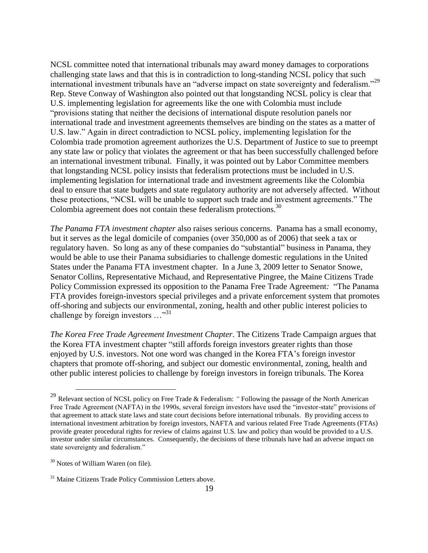NCSL committee noted that international tribunals may award money damages to corporations challenging state laws and that this is in contradiction to long-standing NCSL policy that such international investment tribunals have an "adverse impact on state sovereignty and federalism."<sup>29</sup> Rep. Steve Conway of Washington also pointed out that longstanding NCSL policy is clear that U.S. implementing legislation for agreements like the one with Colombia must include "provisions stating that neither the decisions of international dispute resolution panels nor international trade and investment agreements themselves are binding on the states as a matter of U.S. law." Again in direct contradiction to NCSL policy, implementing legislation for the Colombia trade promotion agreement authorizes the U.S. Department of Justice to sue to preempt any state law or policy that violates the agreement or that has been successfully challenged before an international investment tribunal. Finally, it was pointed out by Labor Committee members that longstanding NCSL policy insists that federalism protections must be included in U.S. implementing legislation for international trade and investment agreements like the Colombia deal to ensure that state budgets and state regulatory authority are not adversely affected. Without these protections, "NCSL will be unable to support such trade and investment agreements." The Colombia agreement does not contain these federalism protections. $30$ 

*The Panama FTA investment chapter* also raises serious concerns.Panama has a small economy, but it serves as the legal domicile of companies (over 350,000 as of 2006) that seek a tax or regulatory haven. So long as any of these companies do "substantial" business in Panama, they would be able to use their Panama subsidiaries to challenge domestic regulations in the United States under the Panama FTA investment chapter. In a June 3, 2009 letter to Senator Snowe, Senator Collins, Representative Michaud, and Representative Pingree, the Maine Citizens Trade Policy Commission expressed its opposition to the Panama Free Trade Agreement: "The Panama" FTA provides foreign-investors special privileges and a private enforcement system that promotes off-shoring and subjects our environmental, zoning, health and other public interest policies to challenge by foreign investors  $\ldots$ <sup>31</sup>

*The Korea Free Trade Agreement Investment Chapter*. The Citizens Trade Campaign argues that the Korea FTA investment chapter "still affords foreign investors greater rights than those enjoyed by U.S. investors. Not one word was changed in the Korea FTA's foreign investor chapters that promote off-shoring, and subject our domestic environmental, zoning, health and other public interest policies to challenge by foreign investors in foreign tribunals. The Korea

<sup>29</sup> Relevant section of NCSL policy on Free Trade & Federalism: *"* Following the passage of the North American Free Trade Agreement (NAFTA) in the 1990s, several foreign investors have used the "investor-state" provisions of that agreement to attack state laws and state court decisions before international tribunals. By providing access to international investment arbitration by foreign investors, NAFTA and various related Free Trade Agreements (FTAs) provide greater procedural rights for review of claims against U.S. law and policy than would be provided to a U.S. investor under similar circumstances. Consequently, the decisions of these tribunals have had an adverse impact on state sovereignty and federalism."

<sup>&</sup>lt;sup>30</sup> Notes of William Waren (on file).

<sup>&</sup>lt;sup>31</sup> Maine Citizens Trade Policy Commission Letters above.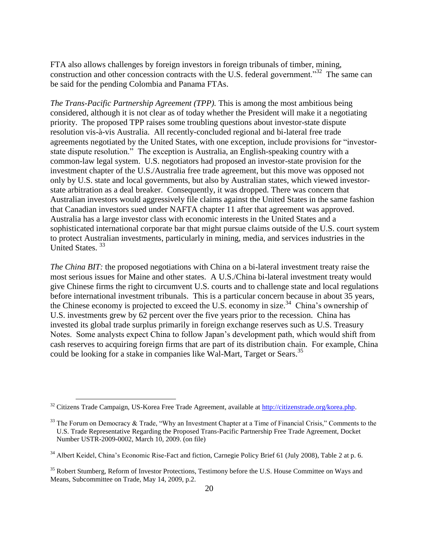FTA also allows challenges by foreign investors in foreign tribunals of timber, mining, construction and other concession contracts with the U.S. federal government.<sup>32</sup> The same can be said for the pending Colombia and Panama FTAs.

*The Trans-Pacific Partnership Agreement (TPP).* This is among the most ambitious being considered, although it is not clear as of today whether the President will make it a negotiating priority. The proposed TPP raises some troubling questions about investor-state dispute resolution vis-à-vis Australia. All recently-concluded regional and bi-lateral free trade agreements negotiated by the United States, with one exception, include provisions for "investorstate dispute resolution." The exception is Australia, an English-speaking country with a common-law legal system. U.S. negotiators had proposed an investor-state provision for the investment chapter of the U.S./Australia free trade agreement, but this move was opposed not only by U.S. state and local governments, but also by Australian states, which viewed investorstate arbitration as a deal breaker. Consequently, it was dropped. There was concern that Australian investors would aggressively file claims against the United States in the same fashion that Canadian investors sued under NAFTA chapter 11 after that agreement was approved. Australia has a large investor class with economic interests in the United States and a sophisticated international corporate bar that might pursue claims outside of the U.S. court system to protect Australian investments, particularly in mining, media, and services industries in the United States. <sup>33</sup>

*The China BIT:* the proposed negotiations with China on a bi-lateral investment treaty raise the most serious issues for Maine and other states. A U.S./China bi-lateral investment treaty would give Chinese firms the right to circumvent U.S. courts and to challenge state and local regulations before international investment tribunals. This is a particular concern because in about 35 years, the Chinese economy is projected to exceed the U.S. economy in size.<sup>34</sup> China's ownership of U.S. investments grew by 62 percent over the five years prior to the recession. China has invested its global trade surplus primarily in foreign exchange reserves such as U.S. Treasury Notes. Some analysts expect China to follow Japan's development path, which would shift from cash reserves to acquiring foreign firms that are part of its distribution chain. For example, China could be looking for a stake in companies like Wal-Mart, Target or Sears.<sup>35</sup>

<sup>&</sup>lt;sup>32</sup> Citizens Trade Campaign, US-Korea Free Trade Agreement, available at [http://citizenstrade.org/korea.php.](http://citizenstrade.org/korea.php)

 $33$  The Forum on Democracy & Trade, "Why an Investment Chapter at a Time of Financial Crisis," Comments to the U.S. Trade Representative Regarding the Proposed Trans-Pacific Partnership Free Trade Agreement, Docket Number USTR-2009-0002, March 10, 2009. (on file)

<sup>&</sup>lt;sup>34</sup> Albert Keidel, China's Economic Rise-Fact and fiction, Carnegie Policy Brief 61 (July 2008), Table 2 at p. 6.

<sup>&</sup>lt;sup>35</sup> Robert Stumberg, Reform of Investor Protections, Testimony before the U.S. House Committee on Ways and Means, Subcommittee on Trade, May 14, 2009, p.2.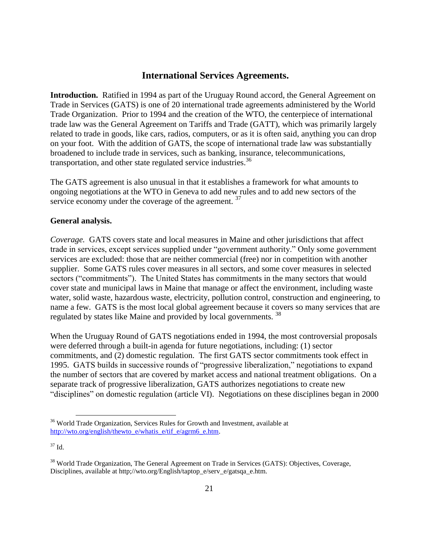### **International Services Agreements.**

**Introduction.** Ratified in 1994 as part of the Uruguay Round accord, the General Agreement on Trade in Services (GATS) is one of 20 international trade agreements administered by the World Trade Organization. Prior to 1994 and the creation of the WTO, the centerpiece of international trade law was the General Agreement on Tariffs and Trade (GATT), which was primarily largely related to trade in goods, like cars, radios, computers, or as it is often said, anything you can drop on your foot. With the addition of GATS, the scope of international trade law was substantially broadened to include trade in services, such as banking, insurance, telecommunications, transportation, and other state regulated service industries.<sup>36</sup>

The GATS agreement is also unusual in that it establishes a framework for what amounts to ongoing negotiations at the WTO in Geneva to add new rules and to add new sectors of the service economy under the coverage of the agreement.<sup>37</sup>

#### **General analysis.**

*Coverage.* GATS covers state and local measures in Maine and other jurisdictions that affect trade in services, except services supplied under "government authority." Only some government services are excluded: those that are neither commercial (free) nor in competition with another supplier. Some GATS rules cover measures in all sectors, and some cover measures in selected sectors ("commitments"). The United States has commitments in the many sectors that would cover state and municipal laws in Maine that manage or affect the environment, including waste water, solid waste, hazardous waste, electricity, pollution control, construction and engineering, to name a few. GATS is the most local global agreement because it covers so many services that are regulated by states like Maine and provided by local governments.<sup>38</sup>

When the Uruguay Round of GATS negotiations ended in 1994, the most controversial proposals were deferred through a built-in agenda for future negotiations, including: (1) sector commitments, and (2) domestic regulation. The first GATS sector commitments took effect in 1995. GATS builds in successive rounds of "progressive liberalization," negotiations to expand the number of sectors that are covered by market access and national treatment obligations. On a separate track of progressive liberalization, GATS authorizes negotiations to create new "disciplines" on domestic regulation (article VI). Negotiations on these disciplines began in 2000

<sup>&</sup>lt;sup>36</sup> World Trade Organization, Services Rules for Growth and Investment, available at [http://wto.org/english/thewto\\_e/whatis\\_e/tif\\_e/agrm6\\_e.htm.](http://wto.org/english/thewto_e/whatis_e/tif_e/agrm6_e.htm)

 $37$  Id.

<sup>&</sup>lt;sup>38</sup> World Trade Organization, The General Agreement on Trade in Services (GATS): Objectives, Coverage, Disciplines, available at http;//wto.org/English/taptop\_e/serv\_e/gatsqa\_e.htm.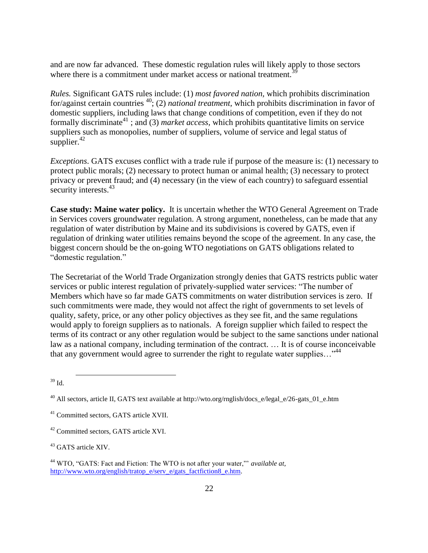and are now far advanced. These domestic regulation rules will likely apply to those sectors where there is a commitment under market access or national treatment.<sup>3</sup>

*Rules.* Significant GATS rules include: (1) *most favored nation,* which prohibits discrimination for/against certain countries <sup>40</sup>; (2) *national treatment,* which prohibits discrimination in favor of domestic suppliers, including laws that change conditions of competition, even if they do not formally discriminate<sup>41</sup>; and (3) *market access*, which prohibits quantitative limits on service suppliers such as monopolies, number of suppliers, volume of service and legal status of supplier. $42$ 

*Exceptions*. GATS excuses conflict with a trade rule if purpose of the measure is: (1) necessary to protect public morals; (2) necessary to protect human or animal health; (3) necessary to protect privacy or prevent fraud; and (4) necessary (in the view of each country) to safeguard essential security interests. $43$ 

**Case study: Maine water policy.** It is uncertain whether the WTO General Agreement on Trade in Services covers groundwater regulation. A strong argument, nonetheless, can be made that any regulation of water distribution by Maine and its subdivisions is covered by GATS, even if regulation of drinking water utilities remains beyond the scope of the agreement. In any case, the biggest concern should be the on-going WTO negotiations on GATS obligations related to "domestic regulation."

The Secretariat of the World Trade Organization strongly denies that GATS restricts public water services or public interest regulation of privately-supplied water services: "The number of Members which have so far made GATS commitments on water distribution services is zero. If such commitments were made, they would not affect the right of governments to set levels of quality, safety, price, or any other policy objectives as they see fit, and the same regulations would apply to foreign suppliers as to nationals. A foreign supplier which failed to respect the terms of its contract or any other regulation would be subject to the same sanctions under national law as a national company, including termination of the contract. … It is of course inconceivable that any government would agree to surrender the right to regulate water supplies... $^{44}$ 

<sup>39</sup> Id.

 $^{40}$  All sectors, article II, GATS text available at http://wto.org/rnglish/docs\_e/legal\_e/26-gats\_01\_e.htm

<sup>41</sup> Committed sectors, GATS article XVII.

<sup>42</sup> Committed sectors, GATS article XVI.

<sup>&</sup>lt;sup>43</sup> GATS article XIV.

<sup>&</sup>lt;sup>44</sup> WTO, "GATS: Fact and Fiction: The WTO is not after your water," *available at*, [http://www.wto.org/english/tratop\\_e/serv\\_e/gats\\_factfiction8\\_e.htm.](http://www.wto.org/english/tratop_e/serv_e/gats_factfiction8_e.htm)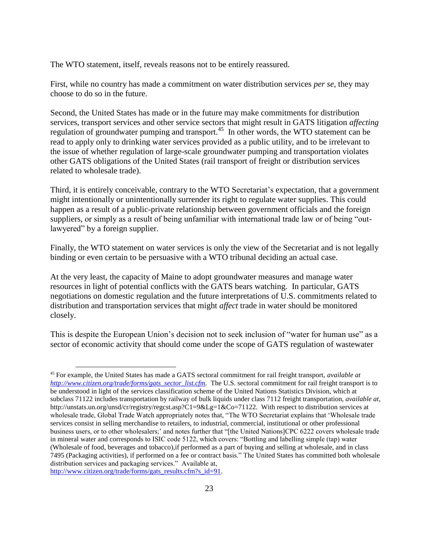The WTO statement, itself, reveals reasons not to be entirely reassured.

First, while no country has made a commitment on water distribution services *per se*, they may choose to do so in the future.

Second, the United States has made or in the future may make commitments for distribution services, transport services and other service sectors that might result in GATS litigation *affecting* regulation of groundwater pumping and transport.<sup>45</sup> In other words, the WTO statement can be read to apply only to drinking water services provided as a public utility, and to be irrelevant to the issue of whether regulation of large-scale groundwater pumping and transportation violates other GATS obligations of the United States (rail transport of freight or distribution services related to wholesale trade).

Third, it is entirely conceivable, contrary to the WTO Secretariat's expectation, that a government might intentionally or unintentionally surrender its right to regulate water supplies. This could happen as a result of a public-private relationship between government officials and the foreign suppliers, or simply as a result of being unfamiliar with international trade law or of being "outlawyered" by a foreign supplier.

Finally, the WTO statement on water services is only the view of the Secretariat and is not legally binding or even certain to be persuasive with a WTO tribunal deciding an actual case.

At the very least, the capacity of Maine to adopt groundwater measures and manage water resources in light of potential conflicts with the GATS bears watching. In particular, GATS negotiations on domestic regulation and the future interpretations of U.S. commitments related to distribution and transportation services that might *affect* trade in water should be monitored closely.

This is despite the European Union's decision not to seek inclusion of "water for human use" as a sector of economic activity that should come under the scope of GATS regulation of wastewater

[http://www.citizen.org/trade/forms/gats\\_results.cfm?s\\_id=91.](http://www.citizen.org/trade/forms/gats_results.cfm?s_id=91)

<sup>45</sup> For example, the United States has made a GATS sectoral commitment for rail freight transport, *available at [http://www.citizen.org/trade/forms/gats\\_sector\\_list.cfm.](http://www.citizen.org/trade/forms/gats_sector_list.cfm)* The U.S. sectoral commitment for rail freight transport is to be understood in light of the services classification scheme of the United Nations Statistics Division, which at subclass 71122 includes transportation by railway of bulk liquids under class 7112 freight transportation, *available at*, http://unstats.un.org/unsd/cr/registry/regcst.asp?C1=9&Lg=1&Co=71122. With respect to distribution services at wholesale trade, Global Trade Watch appropriately notes that, "The WTO Secretariat explains that 'Wholesale trade services consist in selling merchandise to retailers, to industrial, commercial, institutional or other professional business users, or to other wholesalers;' and notes further that "[the United Nations]CPC 6222 covers wholesale trade in mineral water and corresponds to ISIC code 5122, which covers: "Bottling and labelling simple (tap) water (Wholesale of food, beverages and tobacco),if performed as a part of buying and selling at wholesale, and in class 7495 (Packaging activities), if performed on a fee or contract basis.‖ The United States has committed both wholesale distribution services and packaging services." Available at,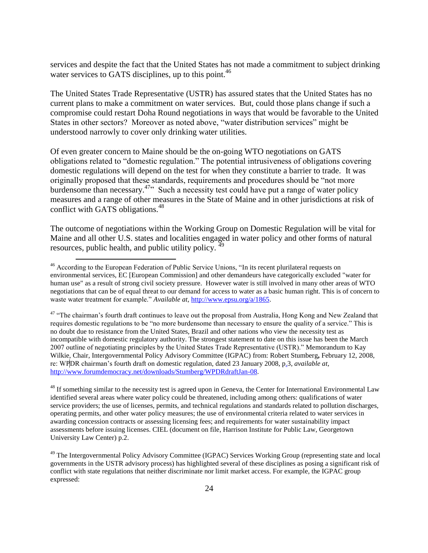services and despite the fact that the United States has not made a commitment to subject drinking water services to GATS disciplines, up to this point.  $46$ 

The United States Trade Representative (USTR) has assured states that the United States has no current plans to make a commitment on water services. But, could those plans change if such a compromise could restart Doha Round negotiations in ways that would be favorable to the United States in other sectors? Moreover as noted above, "water distribution services" might be understood narrowly to cover only drinking water utilities.

Of even greater concern to Maine should be the on-going WTO negotiations on GATS obligations related to "domestic regulation." The potential intrusiveness of obligations covering domestic regulations will depend on the test for when they constitute a barrier to trade. It was originally proposed that these standards, requirements and procedures should be "not more burdensome than necessary.<sup>47</sup><sup>,</sup> Such a necessity test could have put a range of water policy measures and a range of other measures in the State of Maine and in other jurisdictions at risk of conflict with GATS obligations. $48$ 

The outcome of negotiations within the Working Group on Domestic Regulation will be vital for Maine and all other U.S. states and localities engaged in water policy and other forms of natural resources, public health, and public utility policy. <sup>49</sup>

 $\overline{a}$ 

<sup>47</sup> "The chairman's fourth draft continues to leave out the proposal from Australia, Hong Kong and New Zealand that requires domestic regulations to be "no more burdensome than necessary to ensure the quality of a service." This is no doubt due to resistance from the United States, Brazil and other nations who view the necessity test as incompatible with domestic regulatory authority. The strongest statement to date on this issue has been the March 2007 outline of negotiating principles by the United States Trade Representative (USTR)." Memorandum to Kay Wilkie, Chair, Intergovernmental Policy Advisory Committee (IGPAC) from: Robert Stumberg**,** February 12, 2008, re: WPDR chairman's fourth draft on domestic regulation, dated 23 January 2008, p.3, *available at,*  [http://www.forumdemocracy.net/downloads/Stumberg/WPDRdraftJan-08.](http://www.forumdemocracy.net/downloads/Stumberg/WPDRdraftJan-08)

<sup>48</sup> If something similar to the necessity test is agreed upon in Geneva, the Center for International Environmental Law identified several areas where water policy could be threatened, including among others: qualifications of water service providers; the use of licenses, permits, and technical regulations and standards related to pollution discharges, operating permits, and other water policy measures; the use of environmental criteria related to water services in awarding concession contracts or assessing licensing fees; and requirements for water sustainability impact assessments before issuing licenses. CIEL (document on file, Harrison Institute for Public Law, Georgetown University Law Center) p.2.

<sup>&</sup>lt;sup>46</sup> According to the European Federation of Public Service Unions, "In its recent plurilateral requests on environmental services, EC [European Commission] and other demandeurs have categorically excluded "water for human use" as a result of strong civil society pressure. However water is still involved in many other areas of WTO negotiations that can be of equal threat to our demand for access to water as a basic human right. This is of concern to waste water treatment for example." *Available at*, [http://www.epsu.org/a/1865.](http://www.epsu.org/a/1865)

<sup>&</sup>lt;sup>49</sup> The Intergovernmental Policy Advisory Committee (IGPAC) Services Working Group (representing state and local governments in the USTR advisory process) has highlighted several of these disciplines as posing a significant risk of conflict with state regulations that neither discriminate nor limit market access. For example, the IGPAC group expressed: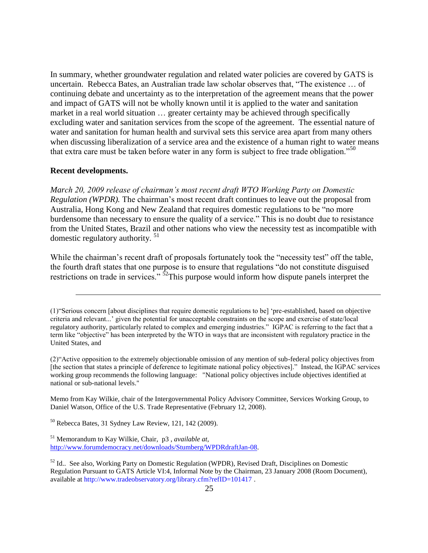In summary, whether groundwater regulation and related water policies are covered by GATS is uncertain. Rebecca Bates, an Australian trade law scholar observes that, "The existence ... of continuing debate and uncertainty as to the interpretation of the agreement means that the power and impact of GATS will not be wholly known until it is applied to the water and sanitation market in a real world situation … greater certainty may be achieved through specifically excluding water and sanitation services from the scope of the agreement. The essential nature of water and sanitation for human health and survival sets this service area apart from many others when discussing liberalization of a service area and the existence of a human right to water means that extra care must be taken before water in any form is subject to free trade obligation.<sup>50</sup>

#### **Recent developments.**

 $\overline{a}$ 

*March 20, 2009 release of chairman's most recent draft WTO Working Party on Domestic Regulation (WPDR).* The chairman's most recent draft continues to leave out the proposal from Australia, Hong Kong and New Zealand that requires domestic regulations to be "no more burdensome than necessary to ensure the quality of a service." This is no doubt due to resistance from the United States, Brazil and other nations who view the necessity test as incompatible with domestic regulatory authority. <sup>51</sup>

While the chairman's recent draft of proposals fortunately took the "necessity test" off the table, the fourth draft states that one purpose is to ensure that regulations "do not constitute disguised restrictions on trade in services.<sup> $\frac{1}{2}$ </sup>This purpose would inform how dispute panels interpret the

Memo from Kay Wilkie, chair of the Intergovernmental Policy Advisory Committee, Services Working Group, to Daniel Watson, Office of the U.S. Trade Representative (February 12, 2008).

<sup>50</sup> Rebecca Bates, 31 Sydney Law Review, 121, 142 (2009).

<sup>51</sup> Memorandum to Kay Wilkie, Chair, p3 , *available at,*  [http://www.forumdemocracy.net/downloads/Stumberg/WPDRdraftJan-08.](http://www.forumdemocracy.net/downloads/Stumberg/WPDRdraftJan-08)

<sup>(1) &</sup>quot;Serious concern [about disciplines that require domestic regulations to be] 'pre-established, based on objective criteria and relevant...' given the potential for unacceptable constraints on the scope and exercise of state/local regulatory authority, particularly related to complex and emerging industries." IGPAC is referring to the fact that a term like "objective" has been interpreted by the WTO in ways that are inconsistent with regulatory practice in the United States, and

 $(2)$ <sup>"</sup>Active opposition to the extremely objectionable omission of any mention of sub-federal policy objectives from [the section that states a principle of deference to legitimate national policy objectives].‖ Instead, the IGPAC services working group recommends the following language: "National policy objectives include objectives identified at national or sub-national levels."

<sup>&</sup>lt;sup>52</sup> Id.. See also, Working Party on Domestic Regulation (WPDR), Revised Draft, Disciplines on Domestic Regulation Pursuant to GATS Article VI:4, Informal Note by the Chairman, 23 January 2008 (Room Document), available at http://www.tradeobservatory.org/library.cfm?refID=101417 .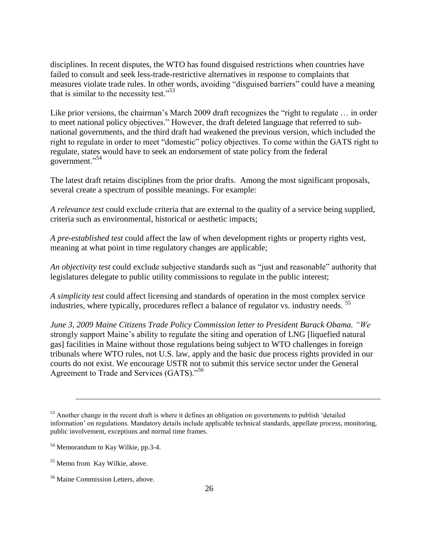disciplines. In recent disputes, the WTO has found disguised restrictions when countries have failed to consult and seek less-trade-restrictive alternatives in response to complaints that measures violate trade rules. In other words, avoiding "disguised barriers" could have a meaning that is similar to the necessity test."<sup>53</sup>

Like prior versions, the chairman's March 2009 draft recognizes the "right to regulate  $\ldots$  in order to meet national policy objectives." However, the draft deleted language that referred to subnational governments, and the third draft had weakened the previous version, which included the right to regulate in order to meet "domestic" policy objectives. To come within the GATS right to regulate, states would have to seek an endorsement of state policy from the federal government."<sup>54</sup>

The latest draft retains disciplines from the prior drafts. Among the most significant proposals, several create a spectrum of possible meanings. For example:

*A relevance test* could exclude criteria that are external to the quality of a service being supplied, criteria such as environmental, historical or aesthetic impacts;

*A pre-established test* could affect the law of when development rights or property rights vest, meaning at what point in time regulatory changes are applicable;

*An objectivity test* could exclude subjective standards such as "just and reasonable" authority that legislatures delegate to public utility commissions to regulate in the public interest;

*A simplicity test* could affect licensing and standards of operation in the most complex service industries, where typically, procedures reflect a balance of regulator vs. industry needs. <sup>55</sup>

*June 3, 2009 Maine Citizens Trade Policy Commission letter to President Barack Obama. "We* strongly support Maine's ability to regulate the siting and operation of LNG [liquefied natural gas] facilities in Maine without those regulations being subject to WTO challenges in foreign tribunals where WTO rules, not U.S. law, apply and the basic due process rights provided in our courts do not exist. We encourage USTR not to submit this service sector under the General Agreement to Trade and Services (GATS)."<sup>56</sup>

 $53$  Another change in the recent draft is where it defines an obligation on governments to publish 'detailed information' on regulations. Mandatory details include applicable technical standards, appellate process, monitoring, public involvement, exceptions and normal time frames.

<sup>&</sup>lt;sup>54</sup> Memorandum to Kay Wilkie, pp.3-4.

<sup>55</sup> Memo from Kay Wilkie, above.

<sup>56</sup> Maine Commission Letters, above.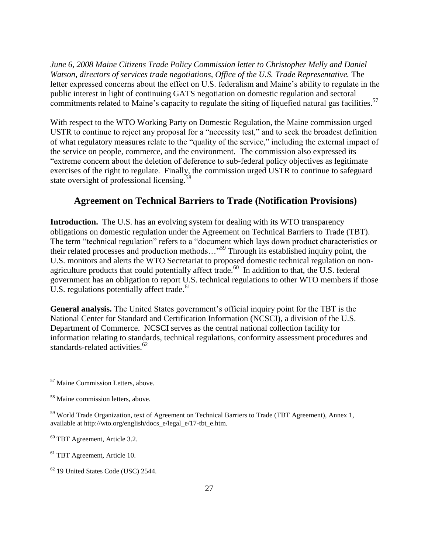*June 6, 2008 Maine Citizens Trade Policy Commission letter to Christopher Melly and Daniel*  Watson, directors of services trade negotiations, Office of the U.S. Trade Representative. The letter expressed concerns about the effect on U.S. federalism and Maine's ability to regulate in the public interest in light of continuing GATS negotiation on domestic regulation and sectoral commitments related to Maine's capacity to regulate the siting of liquefied natural gas facilities.<sup>57</sup>

With respect to the WTO Working Party on Domestic Regulation, the Maine commission urged USTR to continue to reject any proposal for a "necessity test," and to seek the broadest definition of what regulatory measures relate to the "quality of the service," including the external impact of the service on people, commerce, and the environment. The commission also expressed its "extreme concern about the deletion of deference to sub-federal policy objectives as legitimate exercises of the right to regulate. Finally, the commission urged USTR to continue to safeguard state oversight of professional licensing.<sup>5</sup>

## **Agreement on Technical Barriers to Trade (Notification Provisions)**

**Introduction.** The U.S. has an evolving system for dealing with its WTO transparency obligations on domestic regulation under the Agreement on Technical Barriers to Trade (TBT). The term "technical regulation" refers to a "document which lays down product characteristics or their related processes and production methods..."<sup>59</sup> Through its established inquiry point, the U.S. monitors and alerts the WTO Secretariat to proposed domestic technical regulation on nonagriculture products that could potentially affect trade.<sup>60</sup> In addition to that, the U.S. federal government has an obligation to report U.S. technical regulations to other WTO members if those U.S. regulations potentially affect trade.<sup>61</sup>

**General analysis.** The United States government's official inquiry point for the TBT is the National Center for Standard and Certification Information (NCSCI), a division of the U.S. Department of Commerce. NCSCI serves as the central national collection facility for information relating to standards, technical regulations, conformity assessment procedures and standards-related activities.<sup>62</sup>

<sup>&</sup>lt;sup>57</sup> Maine Commission Letters, above.

<sup>58</sup> Maine commission letters, above.

<sup>&</sup>lt;sup>59</sup> World Trade Organization, text of Agreement on Technical Barriers to Trade (TBT Agreement), Annex 1, available at http://wto.org/english/docs\_e/legal\_e/17-tbt\_e.htm.

<sup>60</sup> TBT Agreement, Article 3.2.

<sup>61</sup> TBT Agreement, Article 10.

<sup>62</sup> 19 United States Code (USC) 2544.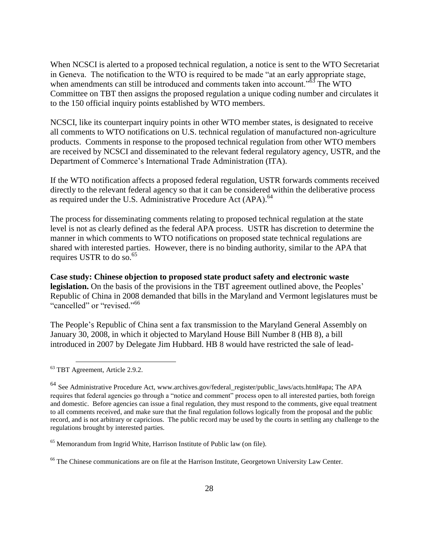When NCSCI is alerted to a proposed technical regulation, a notice is sent to the WTO Secretariat in Geneva. The notification to the WTO is required to be made "at an early appropriate stage, when amendments can still be introduced and comments taken into account.<sup> $.63$ </sup> The WTO Committee on TBT then assigns the proposed regulation a unique coding number and circulates it to the 150 official inquiry points established by WTO members.

NCSCI, like its counterpart inquiry points in other WTO member states, is designated to receive all comments to WTO notifications on U.S. technical regulation of manufactured non-agriculture products. Comments in response to the proposed technical regulation from other WTO members are received by NCSCI and disseminated to the relevant federal regulatory agency, USTR, and the Department of Commerce's International Trade Administration (ITA).

If the WTO notification affects a proposed federal regulation, USTR forwards comments received directly to the relevant federal agency so that it can be considered within the deliberative process as required under the U.S. Administrative Procedure Act (APA).<sup>64</sup>

The process for disseminating comments relating to proposed technical regulation at the state level is not as clearly defined as the federal APA process. USTR has discretion to determine the manner in which comments to WTO notifications on proposed state technical regulations are shared with interested parties. However, there is no binding authority, similar to the APA that requires USTR to do so. $65$ 

**Case study: Chinese objection to proposed state product safety and electronic waste legislation.** On the basis of the provisions in the TBT agreement outlined above, the Peoples' Republic of China in 2008 demanded that bills in the Maryland and Vermont legislatures must be "cancelled" or "revised."<sup>66</sup>

The People's Republic of China sent a fax transmission to the Maryland General Assembly on January 30, 2008, in which it objected to Maryland House Bill Number 8 (HB 8), a bill introduced in 2007 by Delegate Jim Hubbard. HB 8 would have restricted the sale of lead-

<sup>&</sup>lt;sup>63</sup> TBT Agreement, Article 2.9.2.

 $^{64}$  See Administrative Procedure Act, www.archives.gov/federal register/public laws/acts.html#apa; The APA requires that federal agencies go through a "notice and comment" process open to all interested parties, both foreign and domestic. Before agencies can issue a final regulation, they must respond to the comments, give equal treatment to all comments received, and make sure that the final regulation follows logically from the proposal and the public record, and is not arbitrary or capricious. The public record may be used by the courts in settling any challenge to the regulations brought by interested parties.

<sup>65</sup> Memorandum from Ingrid White, Harrison Institute of Public law (on file).

<sup>&</sup>lt;sup>66</sup> The Chinese communications are on file at the Harrison Institute, Georgetown University Law Center.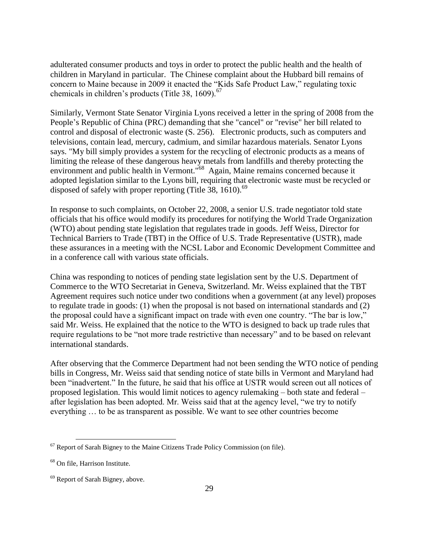adulterated consumer products and toys in order to protect the public health and the health of children in Maryland in particular. The Chinese complaint about the Hubbard bill remains of concern to Maine because in 2009 it enacted the "Kids Safe Product Law," regulating toxic chemicals in children's products (Title 38, 1609). $^{67}$ 

Similarly, Vermont State Senator Virginia Lyons received a letter in the spring of 2008 from the People's Republic of China (PRC) demanding that she "cancel" or "revise" her bill related to control and disposal of electronic waste (S. 256). Electronic products, such as computers and televisions, contain lead, mercury, cadmium, and similar hazardous materials. Senator Lyons says. "My bill simply provides a system for the recycling of electronic products as a means of limiting the release of these dangerous heavy metals from landfills and thereby protecting the environment and public health in Vermont."<sup>68</sup> Again, Maine remains concerned because it adopted legislation similar to the Lyons bill, requiring that electronic waste must be recycled or disposed of safely with proper reporting (Title 38, 1610). $^{69}$ 

In response to such complaints, on October 22, 2008, a senior U.S. trade negotiator told state officials that his office would modify its procedures for notifying the World Trade Organization (WTO) about pending state legislation that regulates trade in goods. Jeff Weiss, Director for Technical Barriers to Trade (TBT) in the Office of U.S. Trade Representative (USTR), made these assurances in a meeting with the NCSL Labor and Economic Development Committee and in a conference call with various state officials.

China was responding to notices of pending state legislation sent by the U.S. Department of Commerce to the WTO Secretariat in Geneva, Switzerland. Mr. Weiss explained that the TBT Agreement requires such notice under two conditions when a government (at any level) proposes to regulate trade in goods: (1) when the proposal is not based on international standards and (2) the proposal could have a significant impact on trade with even one country. "The bar is low," said Mr. Weiss. He explained that the notice to the WTO is designed to back up trade rules that require regulations to be "not more trade restrictive than necessary" and to be based on relevant international standards.

After observing that the Commerce Department had not been sending the WTO notice of pending bills in Congress, Mr. Weiss said that sending notice of state bills in Vermont and Maryland had been "inadvertent." In the future, he said that his office at USTR would screen out all notices of proposed legislation. This would limit notices to agency rulemaking – both state and federal – after legislation has been adopted. Mr. Weiss said that at the agency level, "we try to notify everything … to be as transparent as possible. We want to see other countries become

 $67$  Report of Sarah Bigney to the Maine Citizens Trade Policy Commission (on file).

<sup>68</sup> On file, Harrison Institute.

<sup>&</sup>lt;sup>69</sup> Report of Sarah Bigney, above.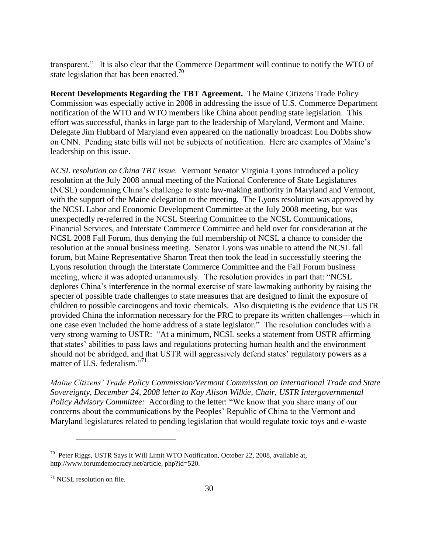transparent.‖ It is also clear that the Commerce Department will continue to notify the WTO of state legislation that has been enacted.<sup>70</sup>

**Recent Developments Regarding the TBT Agreement.** The Maine Citizens Trade Policy Commission was especially active in 2008 in addressing the issue of U.S. Commerce Department notification of the WTO and WTO members like China about pending state legislation. This effort was successful, thanks in large part to the leadership of Maryland, Vermont and Maine. Delegate Jim Hubbard of Maryland even appeared on the nationally broadcast Lou Dobbs show on CNN. Pending state bills will not be subjects of notification. Here are examples of Maine's leadership on this issue.

*NCSL resolution on China TBT issue.* Vermont Senator Virginia Lyons introduced a policy resolution at the July 2008 annual meeting of the National Conference of State Legislatures (NCSL) condemning China's challenge to state law-making authority in Maryland and Vermont, with the support of the Maine delegation to the meeting. The Lyons resolution was approved by the NCSL Labor and Economic Development Committee at the July 2008 meeting, but was unexpectedly re-referred in the NCSL Steering Committee to the NCSL Communications, Financial Services, and Interstate Commerce Committee and held over for consideration at the NCSL 2008 Fall Forum, thus denying the full membership of NCSL a chance to consider the resolution at the annual business meeting. Senator Lyons was unable to attend the NCSL fall forum, but Maine Representative Sharon Treat then took the lead in successfully steering the Lyons resolution through the Interstate Commerce Committee and the Fall Forum business meeting, where it was adopted unanimously. The resolution provides in part that: "NCSL deplores China's interference in the normal exercise of state lawmaking authority by raising the specter of possible trade challenges to state measures that are designed to limit the exposure of children to possible carcinogens and toxic chemicals. Also disquieting is the evidence that USTR provided China the information necessary for the PRC to prepare its written challenges—which in one case even included the home address of a state legislator." The resolution concludes with a very strong warning to USTR: "At a minimum, NCSL seeks a statement from USTR affirming that states' abilities to pass laws and regulations protecting human health and the environment should not be abridged, and that USTR will aggressively defend states' regulatory powers as a matter of U.S. federalism $^{771}$ 

*Maine Citizens' Trade Policy Commission/Vermont Commission on International Trade and State Sovereignty, December 24, 2008 letter to Kay Alison Wilkie, Chair, USTR Intergovernmental Policy Advisory Committee:* According to the letter: "We know that you share many of our concerns about the communications by the Peoples' Republic of China to the Vermont and Maryland legislatures related to pending legislation that would regulate toxic toys and e-waste

<sup>&</sup>lt;sup>70</sup> Peter Riggs, USTR Says It Will Limit WTO Notification, October 22, 2008, available at, http://www.forumdemocracy.net/article, php?id=520.

 $71$  NCSL resolution on file.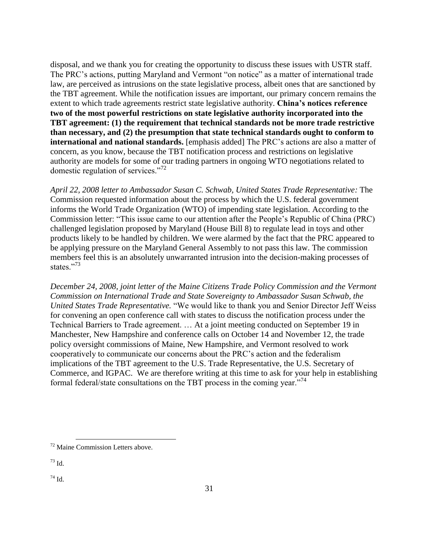disposal, and we thank you for creating the opportunity to discuss these issues with USTR staff. The PRC's actions, putting Maryland and Vermont "on notice" as a matter of international trade law, are perceived as intrusions on the state legislative process, albeit ones that are sanctioned by the TBT agreement. While the notification issues are important, our primary concern remains the extent to which trade agreements restrict state legislative authority. **China's notices reference two of the most powerful restrictions on state legislative authority incorporated into the TBT agreement: (1) the requirement that technical standards not be more trade restrictive than necessary, and (2) the presumption that state technical standards ought to conform to international and national standards.** [emphasis added] The PRC's actions are also a matter of concern, as you know, because the TBT notification process and restrictions on legislative authority are models for some of our trading partners in ongoing WTO negotiations related to domestic regulation of services. $172$ 

*April 22, 2008 letter to Ambassador Susan C. Schwab, United States Trade Representative:* The Commission requested information about the process by which the U.S. federal government informs the World Trade Organization (WTO) of impending state legislation. According to the Commission letter: "This issue came to our attention after the People's Republic of China (PRC) challenged legislation proposed by Maryland (House Bill 8) to regulate lead in toys and other products likely to be handled by children. We were alarmed by the fact that the PRC appeared to be applying pressure on the Maryland General Assembly to not pass this law. The commission members feel this is an absolutely unwarranted intrusion into the decision-making processes of states<sup>"73</sup>

*December 24, 2008, joint letter of the Maine Citizens Trade Policy Commission and the Vermont Commission on International Trade and State Sovereignty to Ambassador Susan Schwab, the United States Trade Representative.* "We would like to thank you and Senior Director Jeff Weiss for convening an open conference call with states to discuss the notification process under the Technical Barriers to Trade agreement. … At a joint meeting conducted on September 19 in Manchester, New Hampshire and conference calls on October 14 and November 12, the trade policy oversight commissions of Maine, New Hampshire, and Vermont resolved to work cooperatively to communicate our concerns about the PRC's action and the federalism implications of the TBT agreement to the U.S. Trade Representative, the U.S. Secretary of Commerce, and IGPAC. We are therefore writing at this time to ask for your help in establishing formal federal/state consultations on the TBT process in the coming year.<sup> $74$ </sup>

 $\overline{a}$ 

 $74$  Id.

<sup>72</sup> Maine Commission Letters above.

<sup>73</sup> Id.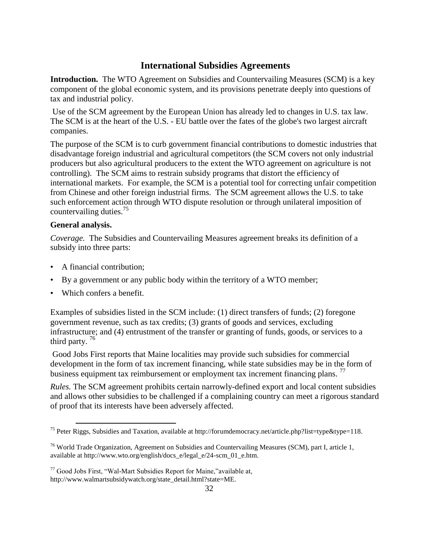## **International Subsidies Agreements**

**Introduction.** The WTO Agreement on Subsidies and Countervailing Measures (SCM) is a key component of the global economic system, and its provisions penetrate deeply into questions of tax and industrial policy.

Use of the SCM agreement by the European Union has already led to changes in U.S. tax law. The SCM is at the heart of the U.S. - EU battle over the fates of the globe's two largest aircraft companies.

The purpose of the SCM is to curb government financial contributions to domestic industries that disadvantage foreign industrial and agricultural competitors (the SCM covers not only industrial producers but also agricultural producers to the extent the WTO agreement on agriculture is not controlling). The SCM aims to restrain subsidy programs that distort the efficiency of international markets. For example, the SCM is a potential tool for correcting unfair competition from Chinese and other foreign industrial firms. The SCM agreement allows the U.S. to take such enforcement action through WTO dispute resolution or through unilateral imposition of countervailing duties.<sup>75</sup>

### **General analysis.**

 $\overline{a}$ 

*Coverage.* The Subsidies and Countervailing Measures agreement breaks its definition of a subsidy into three parts:

- A financial contribution;
- By a government or any public body within the territory of a WTO member;
- Which confers a benefit.

Examples of subsidies listed in the SCM include: (1) direct transfers of funds; (2) foregone government revenue, such as tax credits; (3) grants of goods and services, excluding infrastructure; and (4) entrustment of the transfer or granting of funds, goods, or services to a third party.  $76$ 

Good Jobs First reports that Maine localities may provide such subsidies for commercial development in the form of tax increment financing, while state subsidies may be in the form of business equipment tax reimbursement or employment tax increment financing plans.<sup>77</sup>

*Rules.* The SCM agreement prohibits certain narrowly-defined export and local content subsidies and allows other subsidies to be challenged if a complaining country can meet a rigorous standard of proof that its interests have been adversely affected.

<sup>&</sup>lt;sup>75</sup> Peter Riggs, Subsidies and Taxation, available at http://forumdemocracy.net/article.php?list=type&type=118.

<sup>&</sup>lt;sup>76</sup> World Trade Organization, Agreement on Subsidies and Countervailing Measures (SCM), part I, article 1, available at http://www.wto.org/english/docs\_e/legal\_e/24-scm\_01\_e.htm.

 $77$  Good Jobs First, "Wal-Mart Subsidies Report for Maine,"available at, http://www.walmartsubsidywatch.org/state\_detail.html?state=ME.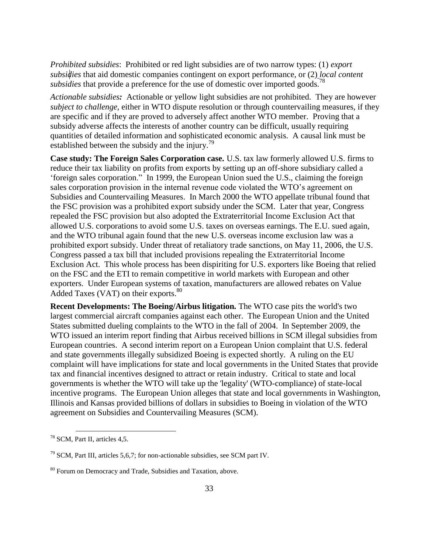*Prohibited subsidies*: Prohibited or red light subsidies are of two narrow types: (1) *export subsidies* that aid domestic companies contingent on export performance, or (2) *local content subsidies* that provide a preference for the use of domestic over imported goods.<sup>78</sup>

*Actionable subsidies:* Actionable or yellow light subsidies are not prohibited. They are however *subject to challenge*, either in WTO dispute resolution or through countervailing measures, if they are specific and if they are proved to adversely affect another WTO member. Proving that a subsidy adverse affects the interests of another country can be difficult, usually requiring quantities of detailed information and sophisticated economic analysis. A causal link must be established between the subsidy and the injury.<sup>79</sup>

**Case study: The Foreign Sales Corporation case.** U.S. tax law formerly allowed U.S. firms to reduce their tax liability on profits from exports by setting up an off-shore subsidiary called a [‗foreign sales corporation.](http://www.ncseonline.org/nle/crsreports/international/inter-61.cfm)‖ In 1999, the European Union sued the U.S., claiming the foreign sales corporation provision in the internal revenue code violated the WTO's agreement on Subsidies and Countervailing Measures. In March 2000 the WTO appellate tribunal found that the FSC provision was a prohibited export subsidy under the SCM. Later that year, Congress repealed the FSC provision but also adopted the Extraterritorial Income Exclusion Act that allowed U.S. corporations to avoid some U.S. taxes on overseas earnings. The E.U. sued again, and the WTO tribunal again found that the new U.S. overseas income exclusion law was a prohibited export subsidy. Under threat of retaliatory trade sanctions, on May 11, 2006, the U.S. Congress passed a tax bill that included provisions repealing the Extraterritorial Income Exclusion Act. This whole process has been dispiriting for U.S. exporters like Boeing that relied on the FSC and the ETI to remain competitive in world markets with European and other exporters. Under European systems of taxation, manufacturers are allowed rebates on Value Added Taxes (VAT) on their exports. 80

**Recent Developments: The Boeing/Airbus litigation***.* The WTO case pits the world's two largest commercial aircraft companies against each other. The European Union and the United States [submitted dueling complaints](http://seattlepi.nwsource.com/business/194149_tradewar07.html) to the WTO in the fall of 2004. In September 2009, the WTO issued an interim report finding that Airbus received billions in SCM illegal subsidies from European countries. A second interim report on a European Union complaint that U.S. federal and state governments illegally subsidized Boeing is expected shortly. A ruling on the EU complaint will have implications for state and local governments in the United States that provide tax and financial incentives designed to attract or retain industry. Critical to state and local governments is whether the WTO will take up the 'legality' (WTO-compliance) of state-local incentive programs. The European Union alleges that state and local governments in Washington, Illinois and Kansas provided billions of dollars in subsidies to Boeing in violation of the WTO agreement on Subsidies and Countervailing Measures (SCM).

<sup>78</sup> SCM, Part II, articles 4,5.

 $79$  SCM, Part III, articles 5,6,7; for non-actionable subsidies, see SCM part IV.

<sup>&</sup>lt;sup>80</sup> Forum on Democracy and Trade, Subsidies and Taxation, above.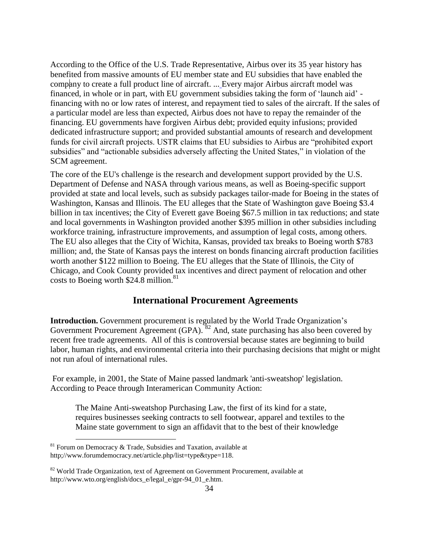According to the Office of the U.S. Trade Representative, Airbus over its 35 year history has benefited from massive amounts of EU member state and EU subsidies that have enabled the company to create a full product line of aircraft. ... Every major Airbus aircraft model was financed, in whole or in part, with EU government subsidies taking the form of ‗launch aid' financing with no or low rates of interest, and repayment tied to sales of the aircraft. If the sales of a particular model are less than expected, Airbus does not have to repay the remainder of the financing. EU governments have forgiven Airbus debt; provided equity infusions; provided dedicated infrastructure support; and provided substantial amounts of research and development funds for civil aircraft projects. USTR claims that EU subsidies to Airbus are "prohibited export subsidies" and "actionable subsidies adversely affecting the United States," in violation of the SCM agreement.

The core of the EU's challenge is the research and development support provided by the U.S. Department of Defense and NASA through various means, as well as Boeing-specific support provided at state and local levels, such as subsidy packages tailor-made for Boeing in the states of Washington, Kansas and Illinois. The EU alleges that the State of Washington gave Boeing \$3.4 billion in tax incentives; the City of Everett gave Boeing \$67.5 million in tax reductions; and state and local governments in Washington provided another \$395 million in other subsidies including workforce training, infrastructure improvements, and assumption of legal costs, among others. The EU also alleges that the City of Wichita, Kansas, provided tax breaks to Boeing worth \$783 million; and, the State of Kansas pays the interest on bonds financing aircraft production facilities worth another \$122 million to Boeing. The EU alleges that the State of Illinois, the City of Chicago, and Cook County provided tax incentives and direct payment of relocation and other costs to Boeing worth  $$24.8$  million.<sup>81</sup>

## **International Procurement Agreements**

**Introduction.** Government procurement is regulated by the World Trade Organization's Government Procurement Agreement (GPA). <sup>82</sup> And, state purchasing has also been covered by recent free trade agreements. All of this is controversial because states are beginning to build labor, human rights, and environmental criteria into their purchasing decisions that might or might not run afoul of international rules.

For example, in 2001, the State of Maine passed landmark 'anti-sweatshop' legislation. According to Peace through Interamerican Community Action:

The Maine Anti-sweatshop Purchasing Law, the first of its kind for a state, requires businesses seeking contracts to sell footwear, apparel and textiles to the Maine state government to sign an affidavit that to the best of their knowledge

 $81$  Forum on Democracy & Trade, Subsidies and Taxation, available at http;//www.forumdemocracy.net/article.php/list=type&type=118.

 $82$  World Trade Organization, text of Agreement on Government Procurement, available at http://www.wto.org/english/docs\_e/legal\_e/gpr-94\_01\_e.htm.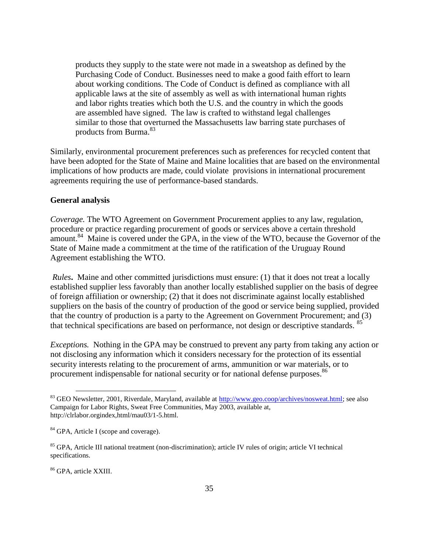products they supply to the state were not made in a sweatshop as defined by the Purchasing Code of Conduct. Businesses need to make a good faith effort to learn about working conditions. The Code of Conduct is defined as compliance with all applicable laws at the site of assembly as well as with international human rights and labor rights treaties which both the U.S. and the country in which the goods are assembled have signed. The law is crafted to withstand legal challenges similar to those that overturned the Massachusetts law barring state purchases of products from Burma.<sup>83</sup>

Similarly, environmental procurement preferences such as preferences for recycled content that have been adopted for the State of Maine and Maine localities that are based on the environmental implications of how products are made, could violate provisions in international procurement agreements requiring the use of performance-based standards.

#### **General analysis**

*Coverage.* The WTO Agreement on Government Procurement applies to any law, regulation, procedure or practice regarding procurement of goods or services above a certain threshold amount.<sup>84</sup> Maine is covered under the GPA, in the view of the WTO, because the Governor of the State of Maine made a commitment at the time of the ratification of the Uruguay Round Agreement establishing the WTO.

*Rules***.** Maine and other committed jurisdictions must ensure: (1) that it does not treat a locally established supplier less favorably than another locally established supplier on the basis of degree of foreign affiliation or ownership; (2) that it does not discriminate against locally established suppliers on the basis of the country of production of the good or service being supplied, provided that the country of production is a party to the Agreement on Government Procurement; and (3) that technical specifications are based on performance, not design or descriptive standards. <sup>85</sup>

*Exceptions.* Nothing in the GPA may be construed to prevent any party from taking any action or not disclosing any information which it considers necessary for the protection of its essential security interests relating to the procurement of arms, ammunition or war materials, or to procurement indispensable for national security or for national defense purposes.<sup>86</sup>

<sup>86</sup> GPA, article XXIII.

<sup>&</sup>lt;sup>83</sup> GEO Newsletter, 2001, Riverdale, Maryland, available at [http://www.geo.coop/archives/nosweat.html;](http://www.geo.coop/archives/nosweat.html) see also Campaign for Labor Rights, Sweat Free Communities, May 2003, available at, http://clrlabor.orgindex,html/mau03/1-5.html.

<sup>&</sup>lt;sup>84</sup> GPA, Article I (scope and coverage).

<sup>&</sup>lt;sup>85</sup> GPA, Article III national treatment (non-discrimination); article IV rules of origin; article VI technical specifications.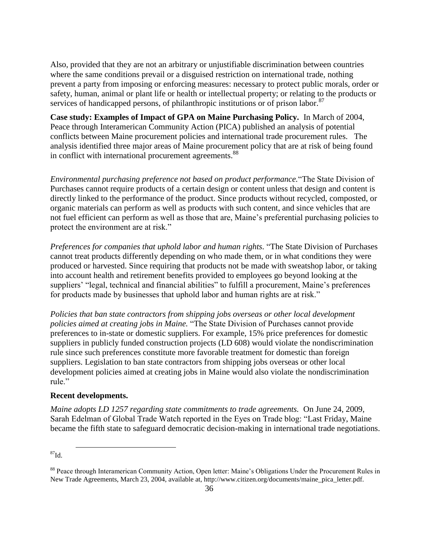Also, provided that they are not an arbitrary or unjustifiable discrimination between countries where the same conditions prevail or a disguised restriction on international trade, nothing prevent a party from imposing or enforcing measures: necessary to protect public morals, order or safety, human, animal or plant life or health or intellectual property; or relating to the products or services of handicapped persons, of philanthropic institutions or of prison labor.<sup>87</sup>

**Case study: Examples of Impact of GPA on Maine Purchasing Policy.** In March of 2004, Peace through Interamerican Community Action (PICA) published an analysis of potential conflicts between Maine procurement policies and international trade procurement rules. The analysis identified three major areas of Maine procurement policy that are at risk of being found in conflict with international procurement agreements.<sup>88</sup>

*Environmental purchasing preference not based on product performance*. "The State Division of Purchases cannot require products of a certain design or content unless that design and content is directly linked to the performance of the product. Since products without recycled, composted, or organic materials can perform as well as products with such content, and since vehicles that are not fuel efficient can perform as well as those that are, Maine's preferential purchasing policies to protect the environment are at risk."

*Preferences for companies that uphold labor and human rights.* "The State Division of Purchases" cannot treat products differently depending on who made them, or in what conditions they were produced or harvested. Since requiring that products not be made with sweatshop labor, or taking into account health and retirement benefits provided to employees go beyond looking at the suppliers' "legal, technical and financial abilities" to fulfill a procurement, Maine's preferences for products made by businesses that uphold labor and human rights are at risk."

*Policies that ban state contractors from shipping jobs overseas or other local development policies aimed at creating jobs in Maine.* "The State Division of Purchases cannot provide preferences to in-state or domestic suppliers. For example, 15% price preferences for domestic suppliers in publicly funded construction projects (LD 608) would violate the nondiscrimination rule since such preferences constitute more favorable treatment for domestic than foreign suppliers. Legislation to ban state contractors from shipping jobs overseas or other local development policies aimed at creating jobs in Maine would also violate the nondiscrimination rule."

#### **Recent developments.**

*Maine adopts LD 1257 regarding state commitments to trade agreements.* On June 24, 2009, Sarah Edelman of Global Trade Watch reported in the Eyes on Trade blog: "Last Friday, Maine" became the fifth state to safeguard democratic decision-making in international trade negotiations.

 $^{87}$ Id.

<sup>&</sup>lt;sup>88</sup> Peace through Interamerican Community Action, Open letter: Maine's Obligations Under the Procurement Rules in New Trade Agreements, March 23, 2004, available at, http://www.citizen.org/documents/maine\_pica\_letter.pdf.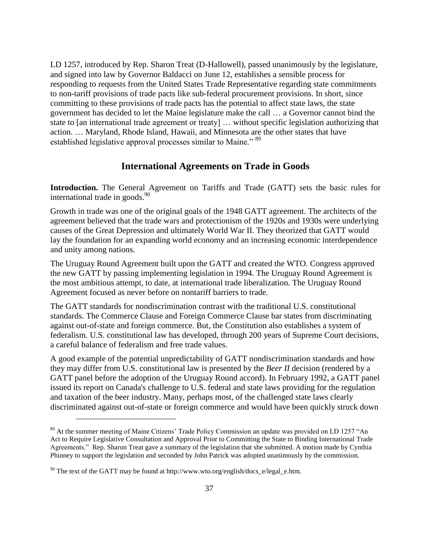[LD 1257,](http://www.mainelegislature.org/legis/bills/bills_124th/billpdfs/HP087601.pdf) introduced by Rep. Sharon Treat (D-Hallowell), passed unanimously by the legislature, and signed into law by Governor Baldacci on June 12, establishes a sensible process for responding to requests from the United States Trade Representative regarding state commitments to non-tariff provisions of trade pacts like sub-federal procurement provisions. In short, since committing to these provisions of trade pacts has the potential to affect state laws, the state government has decided to let the Maine legislature make the call … a Governor cannot bind the state to [an international trade agreement or treaty] … without specific legislation authorizing that action. … Maryland, Rhode Island, Hawaii, and [Minnesota](http://citizen.typepad.com/eyesontrade/2008/12/minnesota-makes.html) are the other states that have established legislative approval processes similar to Maine."<sup>89</sup>

## **International Agreements on Trade in Goods**

**Introduction.** The General Agreement on Tariffs and Trade (GATT) sets the basic rules for international trade in goods.<sup>90</sup>

Growth in trade was one of the original goals of the 1948 GATT agreement. The architects of the agreement believed that the trade wars and protectionism of the 1920s and 1930s were underlying causes of the Great Depression and ultimately World War II. They theorized that GATT would lay the foundation for an expanding world economy and an increasing economic interdependence and unity among nations.

The Uruguay Round Agreement built upon the GATT and created the WTO. Congress approved the new GATT by passing implementing legislation in 1994. The Uruguay Round Agreement is the most ambitious attempt, to date, at international trade liberalization. The Uruguay Round Agreement focused as never before on nontariff barriers to trade.

The GATT standards for nondiscrimination contrast with the traditional U.S. constitutional standards. The Commerce Clause and Foreign Commerce Clause bar states from discriminating against out-of-state and foreign commerce. But, the Constitution also establishes a system of federalism. U.S. constitutional law has developed, through 200 years of Supreme Court decisions, a careful balance of federalism and free trade values.

A good example of the potential unpredictability of GATT nondiscrimination standards and how they may differ from U.S. constitutional law is presented by the *Beer II* decision (rendered by a GATT panel before the adoption of the Uruguay Round accord). In February 1992, a GATT panel issued its report on Canada's challenge to U.S. federal and state laws providing for the regulation and taxation of the beer industry. Many, perhaps most, of the challenged state laws clearly discriminated against out-of-state or foreign commerce and would have been quickly struck down

 $89$  At the summer meeting of Maine Citizens' Trade Policy Commission an update was provided on LD 1257  $\textdegree$ An Act to Require Legislative Consultation and Approval Prior to Committing the State to Binding International Trade Agreements." Rep. Sharon Treat gave a summary of the legislation that she submitted. A motion made by Cynthia Phinney to support the legislation and seconded by John Patrick was adopted unanimously by the commission.

 $90$  The text of the GATT may be found at http://www.wto.org/english/docs\_e/legal\_e.htm.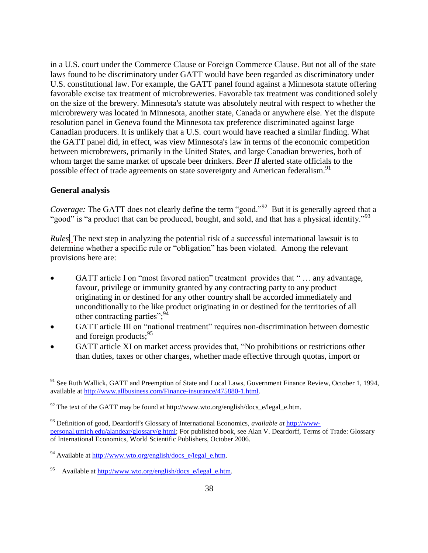in a U.S. court under the Commerce Clause or Foreign Commerce Clause. But not all of the state laws found to be discriminatory under GATT would have been regarded as discriminatory under U.S. constitutional law. For example, the GATT panel found against a Minnesota statute offering favorable [excise tax](http://financial-dictionary.thefreedictionary.com/excise+tax) treatment of microbreweries*.* Favorable tax treatment was conditioned solely on the size of the brewery. Minnesota's statute was absolutely neutral with respect to whether the microbrewery was located in Minnesota, another state, Canada or anywhere else. Yet the dispute resolution panel in Geneva found the Minnesota tax preference discriminated against large Canadian producers. It is unlikely that a U.S. court would have reached a similar finding. What the GATT panel did, in effect, was view Minnesota's law in terms of the economic competition between microbrewers, primarily in the United States, and large Canadian breweries, both of whom target the same market of upscale beer drinkers. *Beer II* alerted state officials to the possible effect of trade agreements on state sovereignty and American federalism.<sup>91</sup>

#### **General analysis**

 $\overline{a}$ 

*Coverage:* The GATT does not clearly define the term "good."<sup>92</sup> But it is generally agreed that a "good" is "a product that can be produced, bought, and sold, and that has a physical identity."<sup>93</sup>

*Rules*. The next step in analyzing the potential risk of a successful international lawsuit is to determine whether a specific rule or "obligation" has been violated. Among the relevant provisions here are:

- GATT article I on "most favored nation" treatment provides that "... any advantage, favour, privilege or immunity granted by any contracting party to any product originating in or destined for any other country shall be accorded immediately and unconditionally to the like product originating in or destined for the territories of all other contracting parties"; $^{94}$
- GATT article III on "national treatment" requires non-discrimination between domestic and foreign products:<sup>95</sup>
- GATT article XI on market access provides that, "No prohibitions or restrictions other than duties, taxes or other charges, whether made effective through quotas, import or

<sup>&</sup>lt;sup>91</sup> See Ruth Wallick, GATT and Preemption of State and Local Laws, Government Finance Review, October 1, 1994, available at [http://www.allbusiness.com/Finance-insurance/475880-1.html.](http://www.allbusiness.com/Finance-insurance/475880-1.html)

 $92$  The text of the GATT may be found at http://www.wto.org/english/docs\_e/legal\_e.htm.

<sup>93</sup> Definition of good, Deardorff's Glossary of International Economics, *available at* [http://www](http://www-personal.umich.edu/alandear/glossary/g.html)[personal.umich.edu/alandear/glossary/g.html;](http://www-personal.umich.edu/alandear/glossary/g.html) For published book, see Alan V. Deardorff, Terms of Trade: Glossary of International Economics, World Scientific Publishers, October 2006.

 $94$  Available at [http://www.wto.org/english/docs\\_e/legal\\_e.htm.](http://www.wto.org/english/docs_e/legal_e.htm)

<sup>95</sup> Available at [http://www.wto.org/english/docs\\_e/legal\\_e.htm.](http://www.wto.org/english/docs_e/legal_e.htm)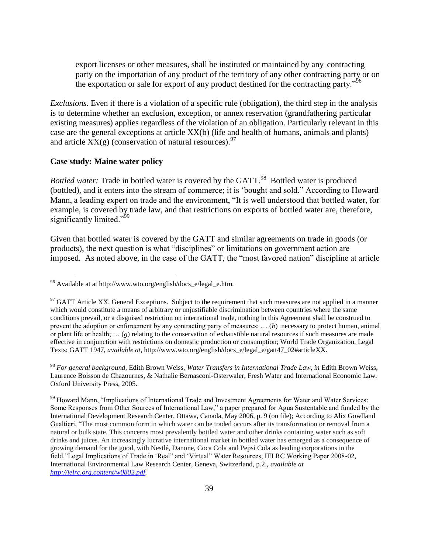export licenses or other measures, shall be instituted or maintained by any contracting party on the importation of any product of the territory of any other contracting party or on the exportation or sale for export of any product destined for the contracting party.<sup>96</sup>

*Exclusions.* Even if there is a violation of a specific rule (obligation), the third step in the analysis is to determine whether an exclusion, exception, or annex reservation (grandfathering particular existing measures) applies regardless of the violation of an obligation. Particularly relevant in this case are the general exceptions at article XX(b) (life and health of humans, animals and plants) and article  $XX(g)$  (conservation of natural resources).<sup>97</sup>

#### **Case study: Maine water policy**

 $\overline{a}$ 

*Bottled water:* Trade in bottled water is covered by the GATT.<sup>98</sup> Bottled water is produced (bottled), and it enters into the stream of commerce; it is 'bought and sold." According to Howard Mann, a leading expert on trade and the environment, "It is well understood that bottled water, for example, is covered by trade law, and that restrictions on exports of bottled water are, therefore, significantly limited."<sup>99</sup>

Given that bottled water is covered by the GATT and similar agreements on trade in goods (or products), the next question is what "disciplines" or limitations on government action are imposed. As noted above, in the case of the GATT, the "most favored nation" discipline at article

<sup>98</sup> *For general background,* Edith Brown Weiss, *Water Transfers in International Trade Law, in* Edith Brown Weiss, Laurence Boisson de Chazournes, & Nathalie Bernasconi-Osterwaler, Fresh Water and International Economic Law. Oxford University Press, 2005.

<sup>99</sup> Howard Mann, "Implications of International Trade and Investment Agreements for Water and Water Services: Some Responses from Other Sources of International Law," a paper prepared for Agua Sustentable and funded by the International Development Research Center, Ottawa, Canada, May 2006, p. 9 (on file); According to Alix Gowlland Gualtieri, "The most common form in which water can be traded occurs after its transformation or removal from a natural or bulk state. This concerns most prevalently bottled water and other drinks containing water such as soft drinks and juices. An increasingly lucrative international market in bottled water has emerged as a consequence of growing demand for the good, with Nestlé, Danone, Coca Cola and Pepsi Cola as leading corporations in the field."Legal Implications of Trade in 'Real" and 'Virtual" Water Resources, IELRC Working Paper 2008-02, International Environmental Law Research Center, Geneva, Switzerland, p.2., *available at [http://ielrc.org.content/w0802.pdf.](http://ielrc.org.content/w0802.pdf)*

 $96$  Available at at http://www.wto.org/english/docs\_e/legal\_e.htm.

 $97$  GATT Article XX. General Exceptions. Subject to the requirement that such measures are not applied in a manner which would constitute a means of arbitrary or unjustifiable discrimination between countries where the same conditions prevail, or a disguised restriction on international trade, nothing in this Agreement shall be construed to prevent the adoption or enforcement by any contracting party of measures: … (*b*) necessary to protect human, animal or plant life or health;  $\ldots$  ( $g$ ) relating to the conservation of exhaustible natural resources if such measures are made effective in conjunction with restrictions on domestic production or consumption; World Trade Organization, Legal Texts: GATT 1947, *available at,* http://www.wto.org/english/docs\_e/legal\_e/gatt47\_02#articleXX.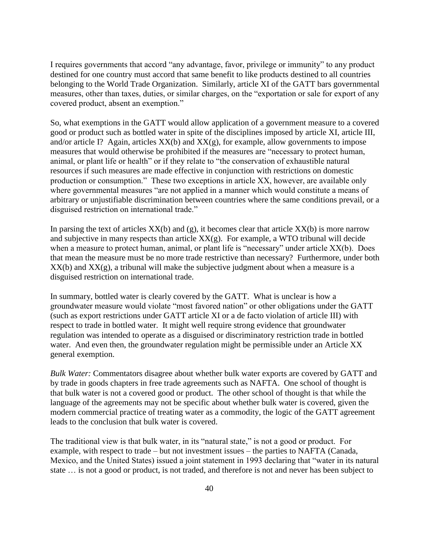I requires governments that accord "any advantage, favor, privilege or immunity" to any product destined for one country must accord that same benefit to like products destined to all countries belonging to the World Trade Organization. Similarly, article XI of the GATT bars governmental measures, other than taxes, duties, or similar charges, on the "exportation or sale for export of any covered product, absent an exemption."

So, what exemptions in the GATT would allow application of a government measure to a covered good or product such as bottled water in spite of the disciplines imposed by article XI, article III, and/or article I? Again, articles  $XX(b)$  and  $XX(g)$ , for example, allow governments to impose measures that would otherwise be prohibited if the measures are "necessary to protect human, animal, or plant life or health" or if they relate to "the conservation of exhaustible natural resources if such measures are made effective in conjunction with restrictions on domestic production or consumption." These two exceptions in article XX, however, are available only where governmental measures "are not applied in a manner which would constitute a means of arbitrary or unjustifiable discrimination between countries where the same conditions prevail, or a disguised restriction on international trade."

In parsing the text of articles  $XX(b)$  and (g), it becomes clear that article  $XX(b)$  is more narrow and subjective in many respects than article  $XX(g)$ . For example, a WTO tribunal will decide when a measure to protect human, animal, or plant life is "necessary" under article  $XX(b)$ . Does that mean the measure must be no more trade restrictive than necessary? Furthermore, under both  $XX(b)$  and  $XX(g)$ , a tribunal will make the subjective judgment about when a measure is a disguised restriction on international trade.

In summary, bottled water is clearly covered by the GATT. What is unclear is how a groundwater measure would violate "most favored nation" or other obligations under the GATT (such as export restrictions under GATT article XI or a de facto violation of article III) with respect to trade in bottled water. It might well require strong evidence that groundwater regulation was intended to operate as a disguised or discriminatory restriction trade in bottled water. And even then, the groundwater regulation might be permissible under an Article XX general exemption.

*Bulk Water:* Commentators disagree about whether bulk water exports are covered by GATT and by trade in goods chapters in free trade agreements such as NAFTA. One school of thought is that bulk water is not a covered good or product. The other school of thought is that while the language of the agreements may not be specific about whether bulk water is covered, given the modern commercial practice of treating water as a commodity, the logic of the GATT agreement leads to the conclusion that bulk water is covered.

The traditional view is that bulk water, in its "natural state," is not a good or product. For example, with respect to trade – but not investment issues – the parties to NAFTA (Canada, Mexico, and the United States) issued a joint statement in 1993 declaring that "water in its natural state … is not a good or product, is not traded, and therefore is not and never has been subject to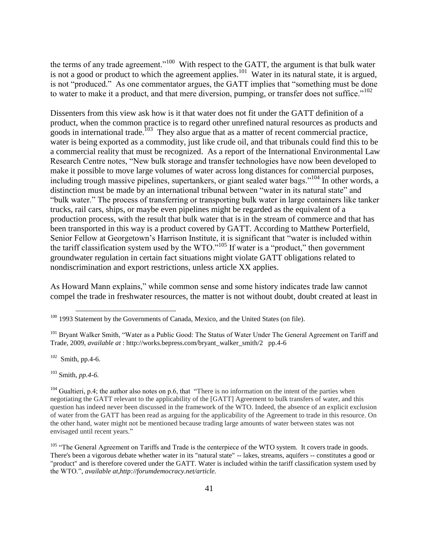the terms of any trade agreement."<sup>100</sup> With respect to the GATT, the argument is that bulk water is not a good or product to which the agreement applies.<sup>101</sup> Water in its natural state, it is argued, is not "produced." As one commentator argues, the GATT implies that "something must be done to water to make it a product, and that mere diversion, pumping, or transfer does not suffice. $102$ 

Dissenters from this view ask how is it that water does not fit under the GATT definition of a product, when the common practice is to regard other unrefined natural resources as products and goods in international trade.<sup>103</sup> They also argue that as a matter of recent commercial practice, water is being exported as a commodity, just like crude oil, and that tribunals could find this to be a commercial reality that must be recognized. As a report of the International Environmental Law Research Centre notes, "New bulk storage and transfer technologies have now been developed to make it possible to move large volumes of water across long distances for commercial purposes, including trough massive pipelines, supertankers, or giant sealed water bags."<sup>104</sup> In other words, a distinction must be made by an international tribunal between "water in its natural state" and ―bulk water.‖ The process of transferring or transporting bulk water in large containers like tanker trucks, rail cars, ships, or maybe even pipelines might be regarded as the equivalent of a production process, with the result that bulk water that is in the stream of commerce and that has been transported in this way is a product covered by GATT. According to Matthew Porterfield, Senior Fellow at Georgetown's Harrison Institute, it is significant that "water is included within the tariff classification system used by the WTO.<sup> $105$ </sup> If water is a "product," then government groundwater regulation in certain fact situations might violate GATT obligations related to nondiscrimination and export restrictions, unless article XX applies.

As Howard Mann explains," while common sense and some history indicates trade law cannot compel the trade in freshwater resources, the matter is not without doubt, doubt created at least in

 $102$  Smith, pp.4-6.

 $\overline{a}$ 

<sup>103</sup> Smith, *pp.4-6.*

<sup>&</sup>lt;sup>100</sup> 1993 Statement by the Governments of Canada, Mexico, and the United States (on file).

<sup>&</sup>lt;sup>101</sup> Bryant Walker Smith, "Water as a Public Good: The Status of Water Under The General Agreement on Tariff and Trade, 2009, *available at* : http://works.bepress.com/bryant\_walker\_smith/2 pp.4-6

 $104$  Gualtieri, p.4; the author also notes on p.6, that "There is no information on the intent of the parties when negotiating the GATT relevant to the applicability of the [GATT] Agreement to bulk transfers of water, and this question has indeed never been discussed in the framework of the WTO. Indeed, the absence of an explicit exclusion of water from the GATT has been read as arguing for the applicability of the Agreement to trade in this resource. On the other hand, water might not be mentioned because trading large amounts of water between states was not envisaged until recent years."

<sup>&</sup>lt;sup>105</sup> "The General Agreement on Tariffs and Trade is the centerpiece of the WTO system. It covers trade in goods. There's been a vigorous debate whether water in its "natural state" -- lakes, streams, aquifers -- constitutes a good or "product" and is therefore covered under the GATT. Water is included within the tariff classification system used by the WTO.", *available at,http://forumdemocracy.net/article.*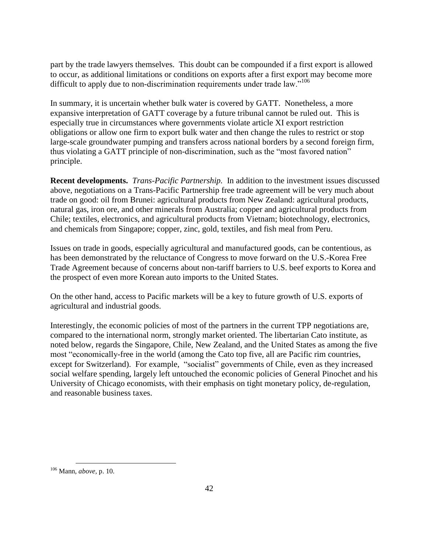part by the trade lawyers themselves. This doubt can be compounded if a first export is allowed to occur, as additional limitations or conditions on exports after a first export may become more difficult to apply due to non-discrimination requirements under trade law."<sup>106</sup>

In summary, it is uncertain whether bulk water is covered by GATT. Nonetheless, a more expansive interpretation of GATT coverage by a future tribunal cannot be ruled out. This is especially true in circumstances where governments violate article XI export restriction obligations or allow one firm to export bulk water and then change the rules to restrict or stop large-scale groundwater pumping and transfers across national borders by a second foreign firm, thus violating a GATT principle of non-discrimination, such as the "most favored nation" principle.

**Recent developments.** *Trans-Pacific Partnership.* In addition to the investment issues discussed above, negotiations on a Trans-Pacific Partnership free trade agreement will be very much about trade on good: oil from Brunei: agricultural products from New Zealand: agricultural products, natural gas, iron ore, and other minerals from Australia; copper and agricultural products from Chile; textiles, electronics, and agricultural products from Vietnam; biotechnology, electronics, and chemicals from Singapore; copper, zinc, gold, textiles, and fish meal from Peru.

Issues on trade in goods, especially agricultural and manufactured goods, can be contentious, as has been demonstrated by the reluctance of Congress to move forward on the U.S.-Korea Free Trade Agreement because of concerns about non-tariff barriers to U.S. beef exports to Korea and the prospect of even more Korean auto imports to the United States.

On the other hand, access to Pacific markets will be a key to future growth of U.S. exports of agricultural and industrial goods.

Interestingly, the economic policies of most of the partners in the current TPP negotiations are, compared to the international norm, strongly market oriented. The libertarian Cato institute, as noted below, regards the Singapore, Chile, New Zealand, and the United States as among the five most "economically-free in the world (among the Cato top five, all are Pacific rim countries, except for Switzerland). For example, "socialist" governments of Chile, even as they increased social welfare spending, largely left untouched the economic policies of General Pinochet and his University of Chicago economists, with their emphasis on tight monetary policy, de-regulation, and reasonable business taxes.

<sup>106</sup> Mann, *above,* p. 10.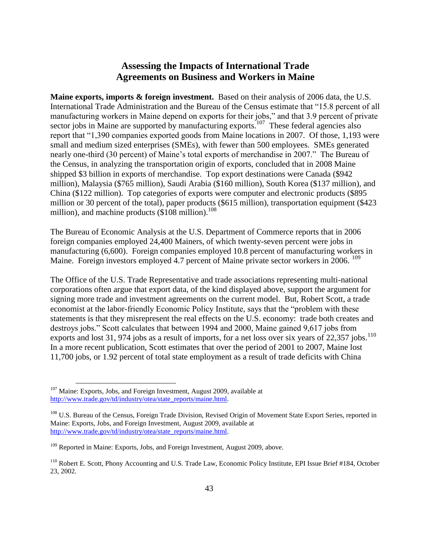## **Assessing the Impacts of International Trade Agreements on Business and Workers in Maine**

**Maine exports, imports & foreign investment.** Based on their analysis of 2006 data, the U.S. International Trade Administration and the Bureau of the Census estimate that "15.8 percent of all manufacturing workers in Maine depend on exports for their jobs," and that 3.9 percent of private sector jobs in Maine are supported by manufacturing exports.<sup>107</sup> These federal agencies also report that "1,390 companies exported goods from Maine locations in 2007. Of those, 1,193 were small and medium sized enterprises (SMEs), with fewer than 500 employees. SMEs generated nearly one-third (30 percent) of Maine's total exports of merchandise in 2007." The Bureau of the Census, in analyzing the transportation origin of exports, concluded that in 2008 Maine shipped \$3 billion in exports of merchandise. Top export destinations were Canada (\$942 million), Malaysia (\$765 million), Saudi Arabia (\$160 million), South Korea (\$137 million), and China (\$122 million). Top categories of exports were computer and electronic products (\$895 million or 30 percent of the total), paper products (\$615 million), transportation equipment (\$423 million), and machine products  $(\$108$  million).<sup>108</sup>

The Bureau of Economic Analysis at the U.S. Department of Commerce reports that in 2006 foreign companies employed 24,400 Mainers, of which twenty-seven percent were jobs in manufacturing (6,600). Foreign companies employed 10.8 percent of manufacturing workers in Maine. Foreign investors employed 4.7 percent of Maine private sector workers in 2006. <sup>109</sup>

The Office of the U.S. Trade Representative and trade associations representing multi-national corporations often argue that export data, of the kind displayed above, support the argument for signing more trade and investment agreements on the current model. But, Robert Scott, a trade economist at the labor-friendly Economic Policy Institute, says that the "problem with these statements is that they misrepresent the real effects on the U.S. economy: trade both creates and destroys jobs." Scott calculates that between 1994 and 2000, Maine gained 9,617 jobs from exports and lost 31, 974 jobs as a result of imports, for a net loss over six years of  $22,357$  jobs.<sup>110</sup> In a more recent publication, Scott estimates that over the period of 2001 to 2007, Maine lost 11,700 jobs, or 1.92 percent of total state employment as a result of trade deficits with China

 $107$  Maine: Exports, Jobs, and Foreign Investment, August 2009, available at [http://www.trade.gov/td/industry/otea/state\\_reports/maine.html.](http://www.trade.gov/td/industry/otea/state_reports/maine.html)

<sup>&</sup>lt;sup>108</sup> U.S. Bureau of the Census, Foreign Trade Division, Revised Origin of Movement State Export Series, reported in Maine: Exports, Jobs, and Foreign Investment, August 2009, available at [http://www.trade.gov/td/industry/otea/state\\_reports/maine.html.](http://www.trade.gov/td/industry/otea/state_reports/maine.html)

<sup>&</sup>lt;sup>109</sup> Reported in Maine: Exports, Jobs, and Foreign Investment, August 2009, above.

<sup>110</sup> Robert E. Scott, Phony Accounting and U.S. Trade Law, Economic Policy Institute, EPI Issue Brief #184, October 23, 2002.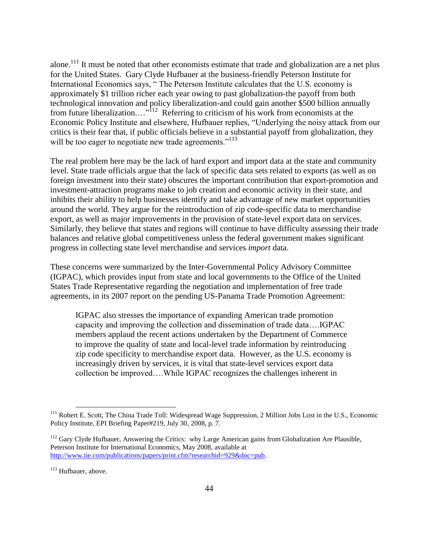alone.<sup>111</sup> It must be noted that other economists estimate that trade and globalization are a net plus for the United States. Gary Clyde Hufbauer at the business-friendly Peterson Institute for International Economics says, "The Peterson Institute calculates that the U.S. economy is approximately \$1 trillion richer each year owing to past globalization-the payoff from both technological innovation and policy liberalization-and could gain another \$500 billion annually from future liberalization...."<sup>112</sup> Referring to criticism of his work from economists at the Economic Policy Institute and elsewhere, Hufbauer replies, "Underlying the noisy attack from our critics is their fear that, if public officials believe in a substantial payoff from globalization, they will be too eager to negotiate new trade agreements."<sup>113</sup>

The real problem here may be the lack of hard export and import data at the state and community level. State trade officials argue that the lack of specific data sets related to exports (as well as on foreign investment into their state) obscures the important contribution that export-promotion and investment-attraction programs make to job creation and economic activity in their state, and inhibits their ability to help businesses identify and take advantage of new market opportunities around the world. They argue for the reintroduction of zip code-specific data to merchandise export, as well as major improvements in the provision of state-level export data on services. Similarly, they believe that states and regions will continue to have difficulty assessing their trade balances and relative global competitiveness unless the federal government makes significant progress in collecting state level merchandise and services *import* data.

These concerns were summarized by the Inter-Governmental Policy Advisory Committee (IGPAC), which provides input from state and local governments to the Office of the United States Trade Representative regarding the negotiation and implementation of free trade agreements, in its 2007 report on the pending US-Panama Trade Promotion Agreement:

IGPAC also stresses the importance of expanding American trade promotion capacity and improving the collection and dissemination of trade data….IGPAC members applaud the recent actions undertaken by the Department of Commerce to improve the quality of state and local-level trade information by reintroducing zip code specificity to merchandise export data. However, as the U.S. economy is increasingly driven by services, it is vital that state-level services export data collection be improved….While IGPAC recognizes the challenges inherent in

<sup>&</sup>lt;sup>111</sup> Robert E. Scott, The China Trade Toll: Widespread Wage Suppression, 2 Million Jobs Lost in the U.S., Economic Policy Institute, EPI Briefing Paper#219, July 30, 2008, p. 7.

 $112$  Gary Clyde Hufbauer, Answering the Critics: why Large American gains from Globalization Are Plausible, Peterson Institute for International Economics, May 2008, available at [http://www.iie.com/publications/papers/print.cfm?researchid=929&doc=pub.](http://www.iie.com/publications/papers/print.cfm?researchid=929&doc=pub)

<sup>&</sup>lt;sup>113</sup> Hufbauer, above.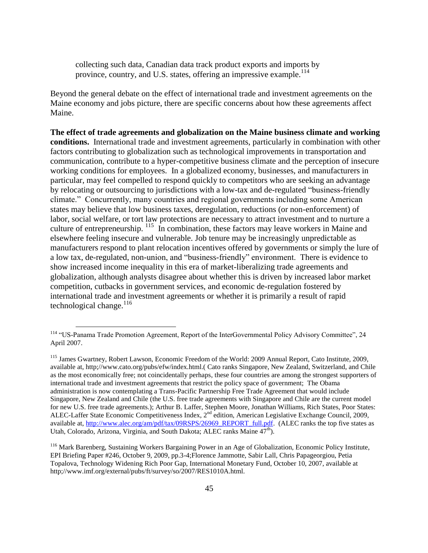collecting such data, Canadian data track product exports and imports by province, country, and U.S. states, offering an impressive example.<sup>114</sup>

Beyond the general debate on the effect of international trade and investment agreements on the Maine economy and jobs picture, there are specific concerns about how these agreements affect Maine.

**The effect of trade agreements and globalization on the Maine business climate and working conditions.** International trade and investment agreements, particularly in combination with other factors contributing to globalization such as technological improvements in transportation and communication, contribute to a hyper-competitive business climate and the perception of insecure working conditions for employees. In a globalized economy, businesses, and manufacturers in particular, may feel compelled to respond quickly to competitors who are seeking an advantage by relocating or outsourcing to jurisdictions with a low-tax and de-regulated "business-friendly climate." Concurrently, many countries and regional governments including some American states may believe that low business taxes, deregulation, reductions (or non-enforcement) of labor, social welfare, or tort law protections are necessary to attract investment and to nurture a culture of entrepreneurship. <sup>115</sup> In combination, these factors may leave workers in Maine and elsewhere feeling insecure and vulnerable. Job tenure may be increasingly unpredictable as manufacturers respond to plant relocation incentives offered by governments or simply the lure of a low tax, de-regulated, non-union, and "business-friendly" environment. There is evidence to show increased income inequality in this era of market-liberalizing trade agreements and globalization, although analysts disagree about whether this is driven by increased labor market competition, cutbacks in government services, and economic de-regulation fostered by international trade and investment agreements or whether it is primarily a result of rapid technological change. $^{116}$ 

<sup>&</sup>lt;sup>114</sup> "US-Panama Trade Promotion Agreement, Report of the InterGovernmental Policy Advisory Committee", 24 April 2007.

<sup>115</sup> James Gwartney, Robert Lawson, Economic Freedom of the World: 2009 Annual Report, Cato Institute, 2009, available at, http;//www.cato.org/pubs/efw/index.html.( Cato ranks Singapore, New Zealand, Switzerland, and Chile as the most economically free; not coincidentally perhaps, these four countries are among the strongest supporters of international trade and investment agreements that restrict the policy space of government; The Obama administration is now contemplating a Trans-Pacific Partnership Free Trade Agreement that would include Singapore, New Zealand and Chile (the U.S. free trade agreements with Singapore and Chile are the current model for new U.S. free trade agreements.); Arthur B. Laffer, Stephen Moore, Jonathan Williams, Rich States, Poor States: ALEC-Laffer State Economic Competitiveness Index, 2nd edition, American Legislative Exchange Council, 2009, available at, [http://www.alec.org/am/pdf/tax/09RSPS/26969\\_REPORT\\_full.pdf.](http://www.alec.org/am/pdf/tax/09RSPS/26969_REPORT_full.pdf) (ALEC ranks the top five states as Utah, Colorado, Arizona, Virginia, and South Dakota; ALEC ranks Maine  $47^{\text{th}}$ ).

<sup>116</sup> Mark Barenberg, Sustaining Workers Bargaining Power in an Age of Globalization, Economic Policy Institute, EPI Briefing Paper #246, October 9, 2009, pp.3-4;Florence Jammotte, Sabir Lall, Chris Papageorgiou, Petia Topalova, Technology Widening Rich Poor Gap, International Monetary Fund, October 10, 2007, available at http;//www.imf.org/external/pubs/ft/survey/so/2007/RES1010A.html.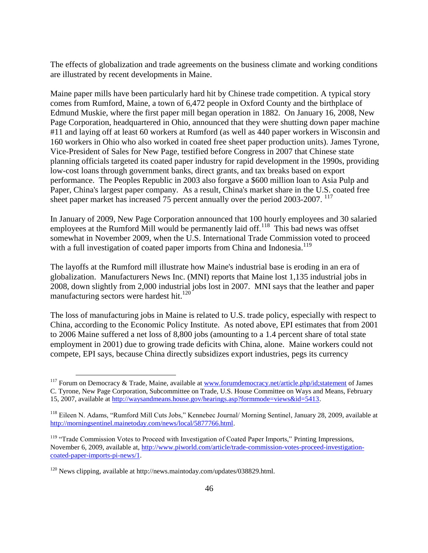The effects of globalization and trade agreements on the business climate and working conditions are illustrated by recent developments in Maine.

Maine paper mills have been particularly hard hit by Chinese trade competition. A typical story comes from Rumford, Maine, a town of 6,472 people in Oxford County and the birthplace of Edmund Muskie, where the first paper mill began operation in 1882. On January 16, 2008, New Page Corporation, headquartered in Ohio, announced that they were shutting down paper machine #11 and laying off at least 60 workers at Rumford (as well as 440 paper workers in Wisconsin and 160 workers in Ohio who also worked in coated free sheet paper production units). James Tyrone, Vice-President of Sales for New Page, testified before Congress in 2007 that Chinese state planning officials targeted its coated paper industry for rapid development in the 1990s, providing low-cost loans through government banks, direct grants, and tax breaks based on export performance. The Peoples Republic in 2003 also forgave a \$600 million loan to Asia Pulp and Paper, China's largest paper company. As a result, China's market share in the U.S. coated free sheet paper market has increased 75 percent annually over the period 2003-2007. <sup>117</sup>

In January of 2009, New Page Corporation announced that 100 hourly employees and 30 salaried employees at the Rumford Mill would be permanently laid off.<sup>118</sup> This bad news was offset somewhat in November 2009, when the U.S. International Trade Commission voted to proceed with a full investigation of coated paper imports from China and Indonesia.<sup>119</sup>

The layoffs at the Rumford mill illustrate how Maine's industrial base is eroding in an era of globalization. Manufacturers News Inc. (MNI) reports that Maine lost 1,135 industrial jobs in 2008, down slightly from 2,000 industrial jobs lost in 2007. MNI says that the leather and paper manufacturing sectors were hardest hit. $^{120}$ 

The loss of manufacturing jobs in Maine is related to U.S. trade policy, especially with respect to China, according to the Economic Policy Institute. As noted above, EPI estimates that from 2001 to 2006 Maine suffered a net loss of 8,800 jobs (amounting to a 1.4 percent share of total state employment in 2001) due to growing trade deficits with China, alone. Maine workers could not compete, EPI says, because China directly subsidizes export industries, pegs its currency

<sup>&</sup>lt;sup>117</sup> Forum on Democracy & Trade, Maine, available at [www.forumdemocracy.net/article.php/id;statement](http://www.forumdemocracy.net/article.php/id;statement) of James C. Tyrone, New Page Corporation, Subcommittee on Trade, U.S. House Committee on Ways and Means, February 15, 2007, available at [http://waysandmeans.house.gov/hearings.asp?formmode=views&id=5413.](http://waysandmeans.house.gov/hearings.asp?formmode=views&id=5413)

<sup>&</sup>lt;sup>118</sup> Eileen N. Adams, "Rumford Mill Cuts Jobs," Kennebec Journal/ Morning Sentinel, January 28, 2009, available at [http://morningsentinel.mainetoday.com/news/local/5877766.html.](http://morningsentinel.mainetoday.com/news/local/5877766.html)

<sup>&</sup>lt;sup>119</sup> "Trade Commission Votes to Proceed with Investigation of Coated Paper Imports," Printing Impressions, November 6, 2009, available at, [http://www.piworld.com/article/trade-commission-votes-proceed-investigation](http://www.piworld.com/article/trade-commission-votes-proceed-investigation-coated-paper-imports-pi-news/1)[coated-paper-imports-pi-news/1.](http://www.piworld.com/article/trade-commission-votes-proceed-investigation-coated-paper-imports-pi-news/1)

<sup>&</sup>lt;sup>120</sup> News clipping, available at http://news.maintoday.com/updates/038829.html.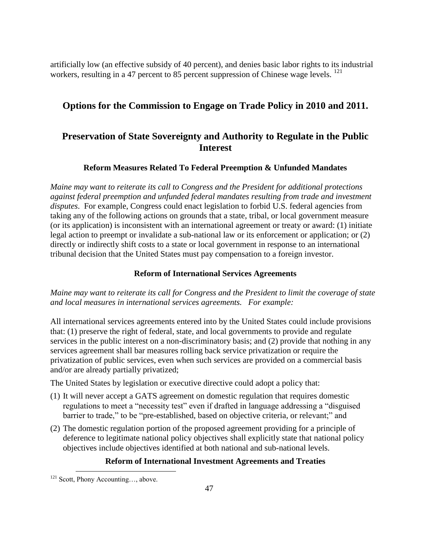artificially low (an effective subsidy of 40 percent), and denies basic labor rights to its industrial workers, resulting in a 47 percent to 85 percent suppression of Chinese wage levels. <sup>121</sup>

## **Options for the Commission to Engage on Trade Policy in 2010 and 2011.**

## **Preservation of State Sovereignty and Authority to Regulate in the Public Interest**

#### **Reform Measures Related To Federal Preemption & Unfunded Mandates**

*Maine may want to reiterate its call to Congress and the President for additional protections against federal preemption and unfunded federal mandates resulting from trade and investment disputes*. For example, Congress could enact legislation to forbid U.S. federal agencies from taking any of the following actions on grounds that a state, tribal, or local government measure (or its application) is inconsistent with an international agreement or treaty or award: (1) initiate legal action to preempt or invalidate a sub-national law or its enforcement or application; or (2) directly or indirectly shift costs to a state or local government in response to an international tribunal decision that the United States must pay compensation to a foreign investor.

#### **Reform of International Services Agreements**

*Maine may want to reiterate its call for Congress and the President to limit the coverage of state and local measures in international services agreements. For example:* 

All international services agreements entered into by the United States could include provisions that: (1) preserve the right of federal, state, and local governments to provide and regulate services in the public interest on a non-discriminatory basis; and (2) provide that nothing in any services agreement shall bar measures rolling back service privatization or require the privatization of public services, even when such services are provided on a commercial basis and/or are already partially privatized;

The United States by legislation or executive directive could adopt a policy that:

- (1) It will never accept a GATS agreement on domestic regulation that requires domestic regulations to meet a "necessity test" even if drafted in language addressing a "disguised barrier to trade," to be "pre-established, based on objective criteria, or relevant;" and
- (2) The domestic regulation portion of the proposed agreement providing for a principle of deference to legitimate national policy objectives shall explicitly state that national policy objectives include objectives identified at both national and sub-national levels.

#### **Reform of International Investment Agreements and Treaties**

<sup>&</sup>lt;sup>121</sup> Scott, Phony Accounting..., above.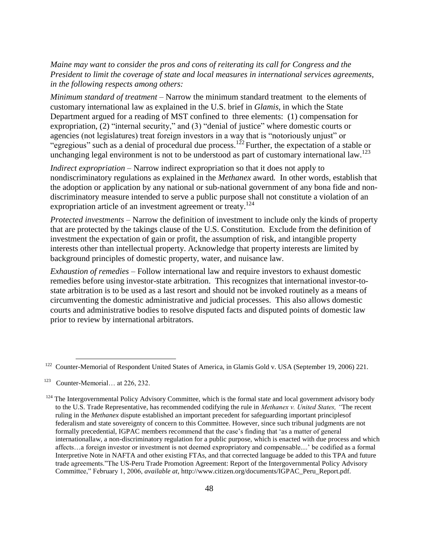*Maine may want to consider the pros and cons of reiterating its call for Congress and the President to limit the coverage of state and local measures in international services agreements, in the following respects among others:* 

*Minimum standard of treatment* – Narrow the minimum standard treatment to the elements of customary international law as explained in the U.S. brief in *Glamis*, in which the State Department argued for a reading of MST confined to three elements: (1) compensation for expropriation,  $(2)$  "internal security," and  $(3)$  "denial of justice" where domestic courts or agencies (not legislatures) treat foreign investors in a way that is "notoriously unjust" or "egregious" such as a denial of procedural due process.<sup>122</sup> Further, the expectation of a stable or unchanging legal environment is not to be understood as part of customary international law.<sup>123</sup>

*Indirect expropriation* – Narrow indirect expropriation so that it does not apply to nondiscriminatory regulations as explained in the *Methanex* award*.* In other words*,* establish that the adoption or application by any national or sub-national government of any bona fide and nondiscriminatory measure intended to serve a public purpose shall not constitute a violation of an expropriation article of an investment agreement or treaty.<sup>124</sup>

*Protected investments –* Narrow the definition of investment to include only the kinds of property that are protected by the takings clause of the U.S. Constitution. Exclude from the definition of investment the expectation of gain or profit, the assumption of risk, and intangible property interests other than intellectual property. Acknowledge that property interests are limited by background principles of domestic property, water, and nuisance law.

*Exhaustion of remedies –* Follow international law and require investors to exhaust domestic remedies before using investor-state arbitration. This recognizes that international investor-tostate arbitration is to be used as a last resort and should not be invoked routinely as a means of circumventing the domestic administrative and judicial processes. This also allows domestic courts and administrative bodies to resolve disputed facts and disputed points of domestic law prior to review by international arbitrators.

<sup>&</sup>lt;sup>122</sup> Counter-Memorial of Respondent United States of America, in Glamis Gold v. USA (September 19, 2006) 221.

<sup>&</sup>lt;sup>123</sup> Counter-Memorial... at 226, 232.

 $124$  The Intergovernmental Policy Advisory Committee, which is the formal state and local government advisory body to the U.S. Trade Representative, has recommended codifying the rule in *Methanex v. United States, "*The recent ruling in the *Methanex* dispute established an important precedent for safeguarding important principlesof federalism and state sovereignty of concern to this Committee. However, since such tribunal judgments are not formally precedential, IGPAC members recommend that the case's finding that 'as a matter of general internationallaw, a non-discriminatory regulation for a public purpose, which is enacted with due process and which affects…a foreign investor or investment is not deemed expropriatory and compensable....' be codified as a formal Interpretive Note in NAFTA and other existing FTAs, and that corrected language be added to this TPA and future trade agreements.‖The US-Peru Trade Promotion Agreement: Report of the Intergovernmental Policy Advisory Committee,‖ February 1, 2006, *available at,* http://www.citizen.org/documents/IGPAC\_Peru\_Report.pdf.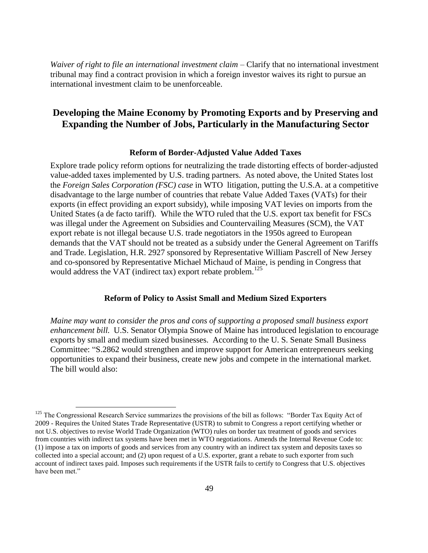*Waiver of right to file an international investment claim – Clarify that no international investment* tribunal may find a contract provision in which a foreign investor waives its right to pursue an international investment claim to be unenforceable.

## **Developing the Maine Economy by Promoting Exports and by Preserving and Expanding the Number of Jobs, Particularly in the Manufacturing Sector**

#### **Reform of Border-Adjusted Value Added Taxes**

Explore trade policy reform options for neutralizing the trade distorting effects of border-adjusted value-added taxes implemented by U.S. trading partners. As noted above, the United States lost the *Foreign Sales Corporation (FSC) case* in WTO litigation, putting the U.S.A. at a competitive disadvantage to the large number of countries that rebate Value Added Taxes (VATs) for their exports (in effect providing an export subsidy), while imposing VAT levies on imports from the United States (a de facto tariff). While the WTO ruled that the U.S. export tax benefit for FSCs was illegal under the Agreement on Subsidies and Countervailing Measures (SCM), the VAT export rebate is not illegal because U.S. trade negotiators in the 1950s agreed to European demands that the VAT should not be treated as a subsidy under the General Agreement on Tariffs and Trade. Legislation, H.R. 2927 sponsored by Representative William Pascrell of New Jersey and co-sponsored by Representative Michael Michaud of Maine, is pending in Congress that would address the VAT (indirect tax) export rebate problem.<sup>125</sup>

#### **Reform of Policy to Assist Small and Medium Sized Exporters**

*Maine may want to consider the pros and cons of supporting a proposed small business export enhancement bill.* U.S. Senator Olympia Snowe of Maine has introduced legislation to encourage exports by small and medium sized businesses. According to the U. S. Senate Small Business Committee: "S.2862 would strengthen and improve support for American entrepreneurs seeking opportunities to expand their business, create new jobs and compete in the international market. The bill would also:

 $125$  The Congressional Research Service summarizes the provisions of the bill as follows: "Border Tax Equity Act of 2009 - Requires the United States Trade Representative (USTR) to submit to Congress a report certifying whether or not U.S. objectives to revise World Trade Organization (WTO) rules on border tax treatment of goods and services from countries with indirect tax systems have been met in WTO negotiations. Amends the Internal Revenue Code to: (1) impose a tax on imports of goods and services from any country with an indirect tax system and deposits taxes so collected into a special account; and (2) upon request of a U.S. exporter, grant a rebate to such exporter from such account of indirect taxes paid. Imposes such requirements if the USTR fails to certify to Congress that U.S. objectives have been met."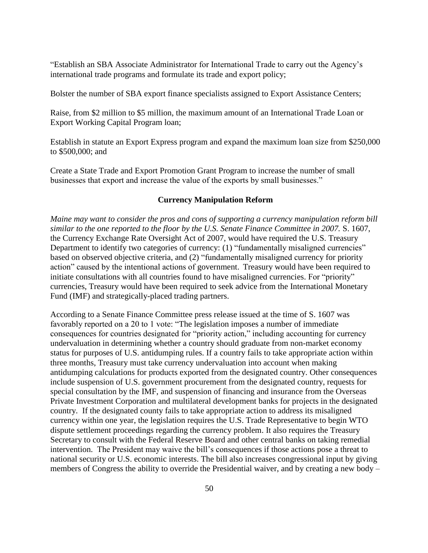―Establish an SBA Associate Administrator for International Trade to carry out the Agency's international trade programs and formulate its trade and export policy;

Bolster the number of SBA export finance specialists assigned to Export Assistance Centers;

Raise, from \$2 million to \$5 million, the maximum amount of an International Trade Loan or Export Working Capital Program loan;

Establish in statute an Export Express program and expand the maximum loan size from \$250,000 to \$500,000; and

Create a State Trade and Export Promotion Grant Program to increase the number of small businesses that export and increase the value of the exports by small businesses."

#### **Currency Manipulation Reform**

*Maine may want to consider the pros and cons of supporting a currency manipulation reform bill similar to the one reported to the floor by the U.S. Senate Finance Committee in 2007.* S. 1607, the Currency Exchange Rate Oversight Act of 2007, would have required the U.S. Treasury Department to identify two categories of currency: (1) "fundamentally misaligned currencies" based on observed objective criteria, and (2) "fundamentally misaligned currency for priority action" caused by the intentional actions of government. Treasury would have been required to initiate consultations with all countries found to have misaligned currencies. For "priority" currencies, Treasury would have been required to seek advice from the International Monetary Fund (IMF) and strategically-placed trading partners.

According to a Senate Finance Committee press release issued at the time of S. 1607 was favorably reported on a 20 to 1 vote: "The legislation imposes a number of immediate consequences for countries designated for "priority action," including accounting for currency undervaluation in determining whether a country should graduate from non-market economy status for purposes of U.S. antidumping rules. If a country fails to take appropriate action within three months, Treasury must take currency undervaluation into account when making antidumping calculations for products exported from the designated country. Other consequences include suspension of U.S. government procurement from the designated country, requests for special consultation by the IMF, and suspension of financing and insurance from the Overseas Private Investment Corporation and multilateral development banks for projects in the designated country. If the designated county fails to take appropriate action to address its misaligned currency within one year, the legislation requires the U.S. Trade Representative to begin WTO dispute settlement proceedings regarding the currency problem. It also requires the Treasury Secretary to consult with the Federal Reserve Board and other central banks on taking remedial intervention. The President may waive the bill's consequences if those actions pose a threat to national security or U.S. economic interests. The bill also increases congressional input by giving members of Congress the ability to override the Presidential waiver, and by creating a new body –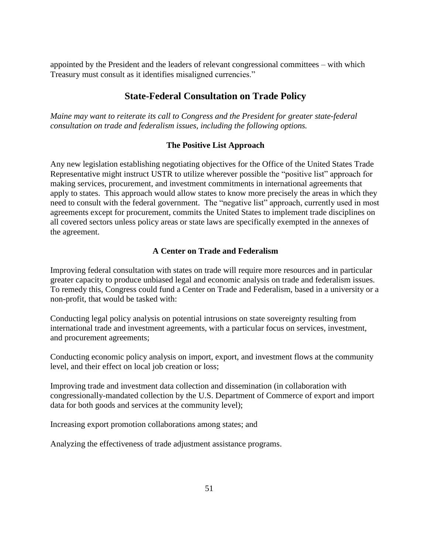appointed by the President and the leaders of relevant congressional committees – with which Treasury must consult as it identifies misaligned currencies."

## **State-Federal Consultation on Trade Policy**

*Maine may want to reiterate its call to Congress and the President for greater state-federal consultation on trade and federalism issues, including the following options.*

#### **The Positive List Approach**

Any new legislation establishing negotiating objectives for the Office of the United States Trade Representative might instruct USTR to utilize wherever possible the "positive list" approach for making services, procurement, and investment commitments in international agreements that apply to states. This approach would allow states to know more precisely the areas in which they need to consult with the federal government. The "negative list" approach, currently used in most agreements except for procurement, commits the United States to implement trade disciplines on all covered sectors unless policy areas or state laws are specifically exempted in the annexes of the agreement.

#### **A Center on Trade and Federalism**

Improving federal consultation with states on trade will require more resources and in particular greater capacity to produce unbiased legal and economic analysis on trade and federalism issues. To remedy this, Congress could fund a Center on Trade and Federalism, based in a university or a non-profit, that would be tasked with:

Conducting legal policy analysis on potential intrusions on state sovereignty resulting from international trade and investment agreements, with a particular focus on services, investment, and procurement agreements;

Conducting economic policy analysis on import, export, and investment flows at the community level, and their effect on local job creation or loss;

Improving trade and investment data collection and dissemination (in collaboration with congressionally-mandated collection by the U.S. Department of Commerce of export and import data for both goods and services at the community level);

Increasing export promotion collaborations among states; and

Analyzing the effectiveness of trade adjustment assistance programs.